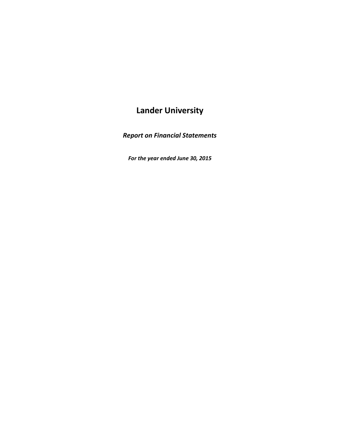# **Lander University**

*Report on Financial Statements*

*For the year ended June 30, 2015*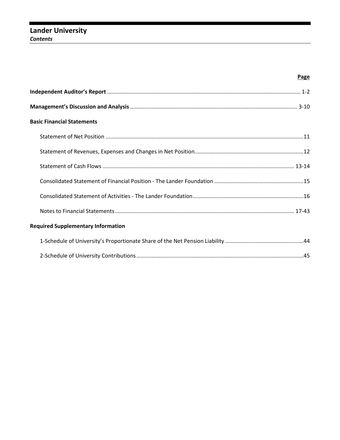### **Lander University** *Contents*

|--|

| <b>Basic Financial Statements</b>         |  |
|-------------------------------------------|--|
|                                           |  |
|                                           |  |
|                                           |  |
|                                           |  |
|                                           |  |
|                                           |  |
| <b>Required Supplementary Information</b> |  |
|                                           |  |
|                                           |  |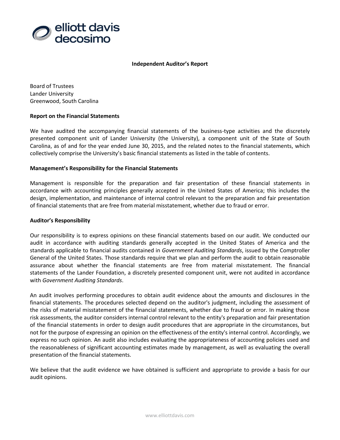

### **Independent Auditor's Report**

Board of Trustees Lander University Greenwood, South Carolina

### **Report on the Financial Statements**

We have audited the accompanying financial statements of the business-type activities and the discretely presented component unit of Lander University (the University), a component unit of the State of South Carolina, as of and for the year ended June 30, 2015, and the related notes to the financial statements, which collectively comprise the University's basic financial statements as listed in the table of contents.

### **Management's Responsibility for the Financial Statements**

Management is responsible for the preparation and fair presentation of these financial statements in accordance with accounting principles generally accepted in the United States of America; this includes the design, implementation, and maintenance of internal control relevant to the preparation and fair presentation of financial statements that are free from material misstatement, whether due to fraud or error.

### **Auditor's Responsibility**

Our responsibility is to express opinions on these financial statements based on our audit. We conducted our audit in accordance with auditing standards generally accepted in the United States of America and the standards applicable to financial audits contained in *Government Auditing Standards*, issued by the Comptroller General of the United States. Those standards require that we plan and perform the audit to obtain reasonable assurance about whether the financial statements are free from material misstatement. The financial statements of the Lander Foundation, a discretely presented component unit, were not audited in accordance with *Government Auditing Standards*.

An audit involves performing procedures to obtain audit evidence about the amounts and disclosures in the financial statements. The procedures selected depend on the auditor's judgment, including the assessment of the risks of material misstatement of the financial statements, whether due to fraud or error. In making those risk assessments, the auditor considers internal control relevant to the entity's preparation and fair presentation of the financial statements in order to design audit procedures that are appropriate in the circumstances, but not for the purpose of expressing an opinion on the effectiveness of the entity's internal control. Accordingly, we express no such opinion. An audit also includes evaluating the appropriateness of accounting policies used and the reasonableness of significant accounting estimates made by management, as well as evaluating the overall presentation of the financial statements.

We believe that the audit evidence we have obtained is sufficient and appropriate to provide a basis for our audit opinions.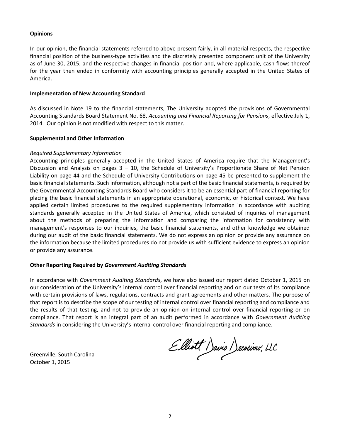### **Opinions**

In our opinion, the financial statements referred to above present fairly, in all material respects, the respective financial position of the business-type activities and the discretely presented component unit of the University as of June 30, 2015, and the respective changes in financial position and, where applicable, cash flows thereof for the year then ended in conformity with accounting principles generally accepted in the United States of America.

### **Implementation of New Accounting Standard**

As discussed in Note 19 to the financial statements, The University adopted the provisions of Governmental Accounting Standards Board Statement No. 68, *Accounting and Financial Reporting for Pensions*, effective July 1, 2014. Our opinion is not modified with respect to this matter.

### **Supplemental and Other Information**

### *Required Supplementary Information*

Accounting principles generally accepted in the United States of America require that the Management's Discussion and Analysis on pages 3 – 10, the Schedule of University's Proportionate Share of Net Pension Liability on page 44 and the Schedule of University Contributions on page 45 be presented to supplement the basic financial statements. Such information, although not a part of the basic financial statements, is required by the Governmental Accounting Standards Board who considers it to be an essential part of financial reporting for placing the basic financial statements in an appropriate operational, economic, or historical context. We have applied certain limited procedures to the required supplementary information in accordance with auditing standards generally accepted in the United States of America, which consisted of inquiries of management about the methods of preparing the information and comparing the information for consistency with management's responses to our inquiries, the basic financial statements, and other knowledge we obtained during our audit of the basic financial statements. We do not express an opinion or provide any assurance on the information because the limited procedures do not provide us with sufficient evidence to express an opinion or provide any assurance.

### **Other Reporting Required by** *Government Auditing Standards*

In accordance with *Government Auditing Standards*, we have also issued our report dated October 1, 2015 on our consideration of the University's internal control over financial reporting and on our tests of its compliance with certain provisions of laws, regulations, contracts and grant agreements and other matters. The purpose of that report is to describe the scope of our testing of internal control over financial reporting and compliance and the results of that testing, and not to provide an opinion on internal control over financial reporting or on compliance. That report is an integral part of an audit performed in accordance with *Government Auditing Standards* in considering the University's internal control over financial reporting and compliance.

Greenville, South Carolina October 1, 2015

Elliott | Javis | Jecosimo, LLC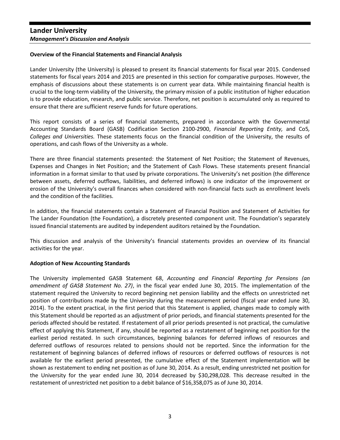### **Overview of the Financial Statements and Financial Analysis**

Lander University (the University) is pleased to present its financial statements for fiscal year 2015. Condensed statements for fiscal years 2014 and 2015 are presented in this section for comparative purposes. However, the emphasis of discussions about these statements is on current year data. While maintaining financial health is crucial to the long-term viability of the University, the primary mission of a public institution of higher education is to provide education, research, and public service. Therefore, net position is accumulated only as required to ensure that there are sufficient reserve funds for future operations.

This report consists of a series of financial statements, prepared in accordance with the Governmental Accounting Standards Board (GASB) Codification Section 2100-2900, *Financial Reporting Entity,* and Co5*, Colleges and Universities.* These statements focus on the financial condition of the University, the results of operations, and cash flows of the University as a whole.

There are three financial statements presented: the Statement of Net Position; the Statement of Revenues, Expenses and Changes in Net Position; and the Statement of Cash Flows. These statements present financial information in a format similar to that used by private corporations. The University's net position (the difference between assets, deferred outflows, liabilities, and deferred inflows) is one indicator of the improvement or erosion of the University's overall finances when considered with non-financial facts such as enrollment levels and the condition of the facilities.

In addition, the financial statements contain a Statement of Financial Position and Statement of Activities for The Lander Foundation (the Foundation), a discretely presented component unit. The Foundation's separately issued financial statements are audited by independent auditors retained by the Foundation.

This discussion and analysis of the University's financial statements provides an overview of its financial activities for the year.

### **Adoption of New Accounting Standards**

The University implemented GASB Statement 68, *Accounting and Financial Reporting for Pensions (an amendment of GASB Statement No. 27)*, in the fiscal year ended June 30, 2015. The implementation of the statement required the University to record beginning net pension liability and the effects on unrestricted net position of contributions made by the University during the measurement period (fiscal year ended June 30, 2014). To the extent practical, in the first period that this Statement is applied, changes made to comply with this Statement should be reported as an adjustment of prior periods, and financial statements presented for the periods affected should be restated. If restatement of all prior periods presented is not practical, the cumulative effect of applying this Statement, if any, should be reported as a restatement of beginning net position for the earliest period restated. In such circumstances, beginning balances for deferred inflows of resources and deferred outflows of resources related to pensions should not be reported. Since the information for the restatement of beginning balances of deferred inflows of resources or deferred outflows of resources is not available for the earliest period presented, the cumulative effect of the Statement implementation will be shown as restatement to ending net position as of June 30, 2014. As a result, ending unrestricted net position for the University for the year ended June 30, 2014 decreased by \$30,298,028. This decrease resulted in the restatement of unrestricted net position to a debit balance of \$16,358,075 as of June 30, 2014.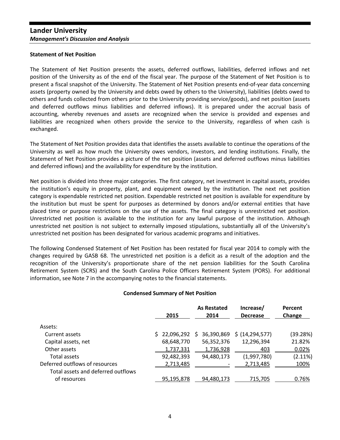### **Statement of Net Position**

The Statement of Net Position presents the assets, deferred outflows, liabilities, deferred inflows and net position of the University as of the end of the fiscal year. The purpose of the Statement of Net Position is to present a fiscal snapshot of the University. The Statement of Net Position presents end-of-year data concerning assets (property owned by the University and debts owed by others to the University), liabilities (debts owed to others and funds collected from others prior to the University providing service/goods), and net position (assets and deferred outflows minus liabilities and deferred inflows). It is prepared under the accrual basis of accounting, whereby revenues and assets are recognized when the service is provided and expenses and liabilities are recognized when others provide the service to the University, regardless of when cash is exchanged.

The Statement of Net Position provides data that identifies the assets available to continue the operations of the University as well as how much the University owes vendors, investors, and lending institutions. Finally, the Statement of Net Position provides a picture of the net position (assets and deferred outflows minus liabilities and deferred inflows) and the availability for expenditure by the institution.

Net position is divided into three major categories. The first category, net investment in capital assets, provides the institution's equity in property, plant, and equipment owned by the institution. The next net position category is expendable restricted net position. Expendable restricted net position is available for expenditure by the institution but must be spent for purposes as determined by donors and/or external entities that have placed time or purpose restrictions on the use of the assets. The final category is unrestricted net position. Unrestricted net position is available to the institution for any lawful purpose of the institution. Although unrestricted net position is not subject to externally imposed stipulations, substantially all of the University's unrestricted net position has been designated for various academic programs and initiatives.

The following Condensed Statement of Net Position has been restated for fiscal year 2014 to comply with the changes required by GASB 68. The unrestricted net position is a deficit as a result of the adoption and the recognition of the University's proportionate share of the net pension liabilities for the South Carolina Retirement System (SCRS) and the South Carolina Police Officers Retirement System (PORS). For additional information, see Note 7 in the accompanying notes to the financial statements.

### **Condensed Summary of Net Position**

|                                    | 2015         | <b>As Restated</b><br>2014 | Increase/<br><b>Decrease</b> | Percent<br>Change |
|------------------------------------|--------------|----------------------------|------------------------------|-------------------|
| Assets:                            |              |                            |                              |                   |
| Current assets                     | \$22,096,292 | S.                         | 36,390,869 \$ (14,294,577)   | (39.28%)          |
| Capital assets, net                | 68,648,770   | 56,352,376                 | 12,296,394                   | 21.82%            |
| Other assets                       | 1,737,331    | 1,736,928                  | 403                          | 0.02%             |
| Total assets                       | 92,482,393   | 94,480,173                 | (1,997,780)                  | (2.11%)           |
| Deferred outflows of resources     | 2,713,485    |                            | 2,713,485                    | 100%              |
| Total assets and deferred outflows |              |                            |                              |                   |
| of resources                       | 95,195,878   | 94,480,173                 | 715,705                      | 0.76%             |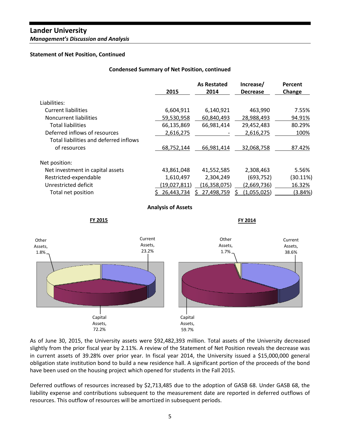### **Lander University**

*Management's Discussion and Analysis*

### **Statement of Net Position, Continued**

### **Condensed Summary of Net Position, continued**

|                                        | 2015           | <b>As Restated</b><br>2014 | Increase/<br><b>Decrease</b> | Percent<br>Change |
|----------------------------------------|----------------|----------------------------|------------------------------|-------------------|
| Liabilities:                           |                |                            |                              |                   |
| <b>Current liabilities</b>             | 6,604,911      | 6,140,921                  | 463,990                      | 7.55%             |
| Noncurrent liabilities                 | 59,530,958     | 60,840,493                 | 28,988,493                   | 94.91%            |
| <b>Total liabilities</b>               | 66,135,869     | 66,981,414                 | 29,452,483                   | 80.29%            |
| Deferred inflows of resources          | 2,616,275      |                            | 2,616,275                    | 100%              |
| Total liabilities and deferred inflows |                |                            |                              |                   |
| of resources                           | 68,752,144     | 66,981,414                 | 32,068,758                   | 87.42%            |
| Net position:                          |                |                            |                              |                   |
| Net investment in capital assets       | 43,861,048     | 41,552,585                 | 2,308,463                    | 5.56%             |
| Restricted-expendable                  | 1,610,497      | 2,304,249                  | (693, 752)                   | (30.11%)          |
| Unrestricted deficit                   | (19, 027, 811) | (16, 358, 075)             | (2,669,736)                  | 16.32%            |
| Total net position                     | 26,443,734     | 27,498,759                 | (1,055,025)                  | (3.84%)           |

### **Analysis of Assets**



As of June 30, 2015, the University assets were \$92,482,393 million. Total assets of the University decreased slightly from the prior fiscal year by 2.11%. A review of the Statement of Net Position reveals the decrease was in current assets of 39.28% over prior year. In fiscal year 2014, the University issued a \$15,000,000 general obligation state institution bond to build a new residence hall. A significant portion of the proceeds of the bond have been used on the housing project which opened for students in the Fall 2015.

Deferred outflows of resources increased by \$2,713,485 due to the adoption of GASB 68. Under GASB 68, the liability expense and contributions subsequent to the measurement date are reported in deferred outflows of resources. This outflow of resources will be amortized in subsequent periods.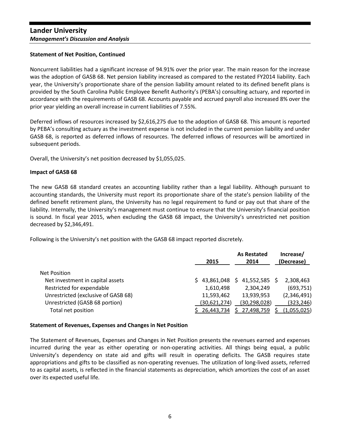### **Statement of Net Position, Continued**

Noncurrent liabilities had a significant increase of 94.91% over the prior year. The main reason for the increase was the adoption of GASB 68. Net pension liability increased as compared to the restated FY2014 liability. Each year, the University's proportionate share of the pension liability amount related to its defined benefit plans is provided by the South Carolina Public Employee Benefit Authority's (PEBA's) consulting actuary, and reported in accordance with the requirements of GASB 68. Accounts payable and accrued payroll also increased 8% over the prior year yielding an overall increase in current liabilities of 7.55%.

Deferred inflows of resources increased by \$2,616,275 due to the adoption of GASB 68. This amount is reported by PEBA's consulting actuary as the investment expense is not included in the current pension liability and under GASB 68, is reported as deferred inflows of resources. The deferred inflows of resources will be amortized in subsequent periods.

Overall, the University's net position decreased by \$1,055,025.

### **Impact of GASB 68**

The new GASB 68 standard creates an accounting liability rather than a legal liability. Although pursuant to accounting standards, the University must report its proportionate share of the state's pension liability of the defined benefit retirement plans, the University has no legal requirement to fund or pay out that share of the liability. Internally, the University's management must continue to ensure that the University's financial position is sound. In fiscal year 2015, when excluding the GASB 68 impact, the University's unrestricted net position decreased by \$2,346,491.

Following is the University's net position with the GASB 68 impact reported discretely.

|                                     | 2015                | <b>As Restated</b><br>2014  | Increase/<br>(Decrease) |
|-------------------------------------|---------------------|-----------------------------|-------------------------|
| Net Position                        |                     |                             |                         |
| Net investment in capital assets    |                     | 43,861,048 \$ 41,552,585 \$ | 2,308,463               |
| Restricted for expendable           | 1,610,498           | 2.304.249                   | (693, 751)              |
| Unrestricted (exclusive of GASB 68) | 11,593,462          | 13,939,953                  | (2,346,491)             |
| Unrestricted (GASB 68 portion)      | (30,621,274)        | (30, 298, 028)              | (323, 246)              |
| Total net position                  | <u>\$26,443,734</u> | 27,498,759                  | (1,055,025)             |

### **Statement of Revenues, Expenses and Changes in Net Position**

The Statement of Revenues, Expenses and Changes in Net Position presents the revenues earned and expenses incurred during the year as either operating or non-operating activities. All things being equal, a public University's dependency on state aid and gifts will result in operating deficits. The GASB requires state appropriations and gifts to be classified as non-operating revenues. The utilization of long-lived assets, referred to as capital assets, is reflected in the financial statements as depreciation, which amortizes the cost of an asset over its expected useful life.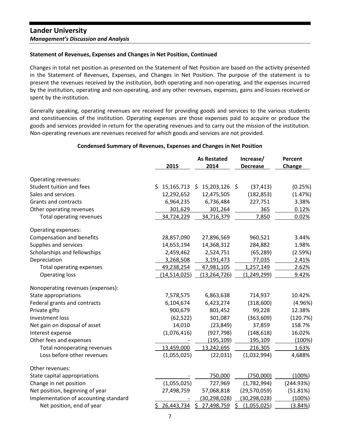### **Statement of Revenues, Expenses and Changes in Net Position, Continued**

Changes in total net position as presented on the Statement of Net Position are based on the activity presented in the Statement of Revenues, Expenses, and Changes in Net Position. The purpose of the statement is to present the revenues received by the institution, both operating and non-operating, and the expenses incurred by the institution, operating and non-operating, and any other revenues, expenses, gains and losses received or spent by the institution.

Generally speaking, operating revenues are received for providing goods and services to the various students and constituencies of the institution. Operating expenses are those expenses paid to acquire or produce the goods and services provided in return for the operating revenues and to carry out the mission of the institution. Non-operating revenues are revenues received for which goods and services are not provided.

### **Condensed Summary of Revenues, Expenses and Changes in Net Position**

|                                       | 2015             | <b>As Restated</b><br>2014 | Increase/<br><b>Decrease</b> | Percent<br>Change |
|---------------------------------------|------------------|----------------------------|------------------------------|-------------------|
| Operating revenues:                   |                  |                            |                              |                   |
| Student tuition and fees              | \$<br>15,165,713 | 15,203,126 \$<br>\$        | (37, 413)                    | (0.25%)           |
| Sales and services                    | 12,292,652       | 12,475,505                 | (182, 853)                   | (1.47%)           |
| Grants and contracts                  | 6,964,235        | 6,736,484                  | 227,751                      | 3.38%             |
| Other operating revenues              | 301,629          | 301,264                    | 365                          | 0.12%             |
| Total operating revenues              | 34,724,229       | 34,716,379                 | 7,850                        | 0.02%             |
| Operating expenses:                   |                  |                            |                              |                   |
| <b>Compensation and benefits</b>      | 28,857,090       | 27,896,569                 | 960,521                      | 3.44%             |
| Supplies and services                 | 14,653,194       | 14,368,312                 | 284,882                      | 1.98%             |
| Scholarships and fellowships          | 2,459,462        | 2,524,751                  | (65, 289)                    | (2.59%)           |
| Depreciation                          | 3,268,508        | 3,191,473                  | 77,035                       | 2.41%             |
| <b>Total operating expenses</b>       | 49,238,254       | 47,981,105                 | 1,257,149                    | 2.62%             |
| <b>Operating loss</b>                 | (14,514,025)     | (13, 264, 726)             | (1, 249, 299)                | 9.42%             |
| Nonoperating revenues (expenses):     |                  |                            |                              |                   |
| State appropriations                  | 7,578,575        | 6,863,638                  | 714,937                      | 10.42%            |
| Federal grants and contracts          | 6,104,674        | 6,423,274                  | (318,600)                    | (4.96%)           |
| Private gifts                         | 900,679          | 801,452                    | 99,228                       | 12.38%            |
| Investment loss                       | (62, 522)        | 301,087                    | (363, 609)                   | (120.7%)          |
| Net gain on disposal of asset         | 14,010           | (23, 849)                  | 37,859                       | 158.7%            |
| Interest expense                      | (1,076,416)      | (927, 798)                 | (148, 618)                   | 16.02%            |
| Other fees and expenses               |                  | (195, 109)                 | 195,109                      | (100%)            |
| Total nonoperating revenues           | 13,459,000       | 13,242,695                 | 216,305                      | 1.63%             |
| Loss before other revenues            | (1,055,025)      | (22, 031)                  | (1,032,994)                  | 4,688%            |
| Other revenues:                       |                  |                            |                              |                   |
| State capital appropriations          |                  | 750,000                    | (750,000)                    | (100%)            |
| Change in net position                | (1,055,025)      | 727,969                    | (1,782,994)                  | (244.93%)         |
| Net position, beginning of year       | 27,498,759       | 57,068,818                 | (29,570,059)                 | (51.81%)          |
| Implementation of accounting standard |                  | (30, 298, 028)             | (30, 298, 028)               | (100%)            |
| Net position, end of year             | 26,443,734       | 27,498,759<br>\$           | (1,055,025)<br>Ś             | (3.84%)           |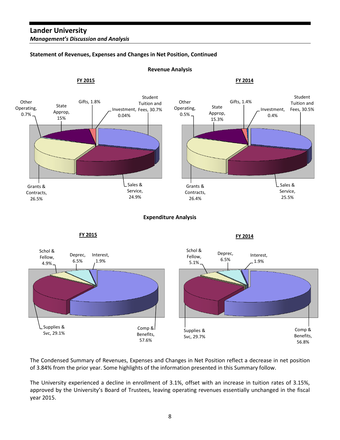### **Statement of Revenues, Expenses and Changes in Net Position, Continued**



**Revenue Analysis**

**Expenditure Analysis**



The Condensed Summary of Revenues, Expenses and Changes in Net Position reflect a decrease in net position of 3.84% from the prior year. Some highlights of the information presented in this Summary follow.

The University experienced a decline in enrollment of 3.1%, offset with an increase in tuition rates of 3.15%, approved by the University's Board of Trustees, leaving operating revenues essentially unchanged in the fiscal year 2015.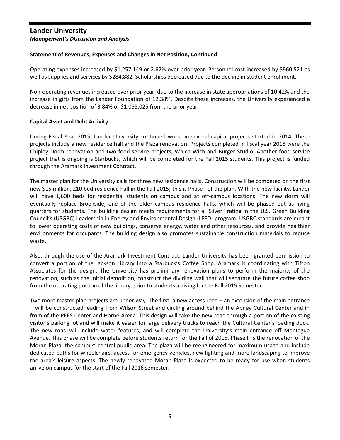### **Statement of Revenues, Expenses and Changes in Net Position, Continued**

Operating expenses increased by \$1,257,149 or 2.62% over prior year. Personnel cost increased by \$960,521 as well as supplies and services by \$284,882. Scholarships decreased due to the decline in student enrollment.

Non-operating revenues increased over prior year, due to the increase in state appropriations of 10.42% and the increase in gifts from the Lander Foundation of 12.38%. Despite these increases, the University experienced a decrease in net position of 3.84% or \$1,055,025 from the prior year.

### **Capital Asset and Debt Activity**

During Fiscal Year 2015, Lander University continued work on several capital projects started in 2014. These projects include a new residence hall and the Plaza renovation. Projects completed in fiscal year 2015 were the Chipley Dorm renovation and two food service projects, Which-Wich and Burger Studio. Another food service project that is ongoing is Starbucks, which will be completed for the Fall 2015 students. This project is funded through the Aramark Investment Contract.

The master plan for the University calls for three new residence halls. Construction will be competed on the first new \$15 million, 210 bed residence hall in the Fall 2015; this is Phase I of the plan. With the new facility, Lander will have 1,600 beds for residential students on campus and at off-campus locations. The new dorm will eventually replace Brookside, one of the older campus residence halls, which will be phased out as living quarters for students. The building design meets requirements for a "Silver" rating in the U.S. Green Building Council's (USGBC) Leadership in Energy and Environmental Design (LEED) program. USGBC standards are meant to lower operating costs of new buildings, conserve energy, water and other resources, and provide healthier environments for occupants. The building design also promotes sustainable construction materials to reduce waste.

Also, through the use of the Aramark Investment Contract, Lander University has been granted permission to convert a portion of the Jackson Library into a Starbuck's Coffee Shop. Aramark is coordinating with Tifton Associates for the design. The University has preliminary renovation plans to perform the majority of the renovation, such as the initial demolition, construct the dividing wall that will separate the future coffee shop from the operating portion of the library, prior to students arriving for the Fall 2015 Semester.

Two more master plan projects are under way. The first, a new access road – an extension of the main entrance – will be constructed leading from Wilson Street and circling around behind the Abney Cultural Center and in from of the PEES Center and Horne Arena. This design will take the new road through a portion of the existing visitor's parking lot and will make it easier for large delivery trucks to reach the Cultural Center's loading dock. The new road will include water features, and will complete the University's main entrance off Montague Avenue. This phase will be complete before students return for the Fall of 2015. Phase II is the renovation of the Moran Plaza, the campus' central public area. The plaza will be reengineered for maximum usage and include dedicated paths for wheelchairs, access for emergency vehicles, new lighting and more landscaping to improve the area's leisure aspects. The newly renovated Moran Plaza is expected to be ready for use when students arrive on campus for the start of the Fall 2016 semester.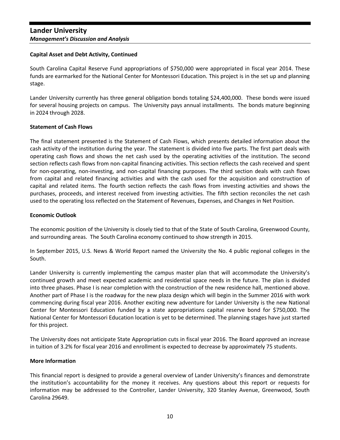### **Capital Asset and Debt Activity, Continued**

South Carolina Capital Reserve Fund appropriations of \$750,000 were appropriated in fiscal year 2014. These funds are earmarked for the National Center for Montessori Education. This project is in the set up and planning stage.

Lander University currently has three general obligation bonds totaling \$24,400,000. These bonds were issued for several housing projects on campus. The University pays annual installments. The bonds mature beginning in 2024 through 2028.

### **Statement of Cash Flows**

The final statement presented is the Statement of Cash Flows, which presents detailed information about the cash activity of the institution during the year. The statement is divided into five parts. The first part deals with operating cash flows and shows the net cash used by the operating activities of the institution. The second section reflects cash flows from non-capital financing activities. This section reflects the cash received and spent for non-operating, non-investing, and non-capital financing purposes. The third section deals with cash flows from capital and related financing activities and with the cash used for the acquisition and construction of capital and related items. The fourth section reflects the cash flows from investing activities and shows the purchases, proceeds, and interest received from investing activities. The fifth section reconciles the net cash used to the operating loss reflected on the Statement of Revenues, Expenses, and Changes in Net Position.

### **Economic Outlook**

The economic position of the University is closely tied to that of the State of South Carolina, Greenwood County, and surrounding areas. The South Carolina economy continued to show strength in 2015.

In September 2015, U.S. News & World Report named the University the No. 4 public regional colleges in the South.

Lander University is currently implementing the campus master plan that will accommodate the University's continued growth and meet expected academic and residential space needs in the future. The plan is divided into three phases. Phase I is near completion with the construction of the new residence hall, mentioned above. Another part of Phase I is the roadway for the new plaza design which will begin in the Summer 2016 with work commencing during fiscal year 2016. Another exciting new adventure for Lander University is the new National Center for Montessori Education funded by a state appropriations capital reserve bond for \$750,000. The National Center for Montessori Education location is yet to be determined. The planning stages have just started for this project.

The University does not anticipate State Appropriation cuts in fiscal year 2016. The Board approved an increase in tuition of 3.2% for fiscal year 2016 and enrollment is expected to decrease by approximately 75 students.

### **More Information**

This financial report is designed to provide a general overview of Lander University's finances and demonstrate the institution's accountability for the money it receives. Any questions about this report or requests for information may be addressed to the Controller, Lander University, 320 Stanley Avenue, Greenwood, South Carolina 29649.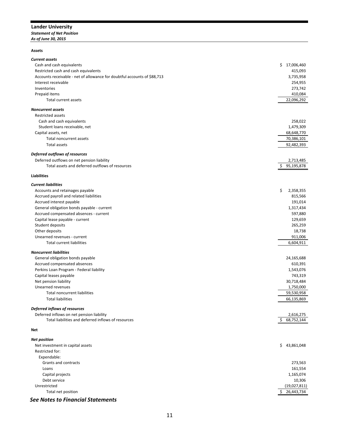### **Lander University**

### *Statement of Net Position*

*As of June 30, 2015*

#### **Assets**

| \$<br>Cash and cash equivalents<br>17,006,460<br>415,093<br>Restricted cash and cash equivalents<br>3,735,958<br>Accounts receivable - net of allowance for doubtful accounts of \$88,713<br>254,955<br>Interest receivable<br>273,742<br>Inventories<br>410,084<br>Prepaid items<br>22,096,292<br>Total current assets<br><b>Noncurrent assets</b><br><b>Restricted assets</b><br>258,022<br>Cash and cash equivalents<br>1,479,309<br>Student loans receivable, net<br>68,648,770<br>Capital assets, net<br>70,386,101<br>Total noncurrent assets<br>Total assets<br>92,482,393<br>Deferred outflows of resources<br>Deferred outflows on net pension liability<br>2,713,485<br>\$<br>Total assets and deferred outflows of resources<br>95,195,878<br><b>Liabilities</b><br><b>Current liabilities</b><br>\$<br>Accounts and retainages payable<br>2,358,355<br>815,566<br>Accrued payroll and related liabilities<br>191,014<br>Accrued interest payable<br>1,317,434<br>General obligation bonds payable - current<br>597,880<br>Accrued compensated absences - current<br>129,659<br>Capital lease payable - current<br>Student deposits<br>265,259<br>18,738<br>Other deposits<br>911,006<br>Unearned revenues - current<br>6,604,911<br><b>Total current liabilities</b><br><b>Noncurrent liabilities</b><br>General obligation bonds payable<br>24,165,688<br>Accrued compensated absences<br>610,391<br>1,543,076<br>Perkins Loan Program - Federal liability<br>743,319<br>Capital leases payable<br>Net pension liability<br>30,718,484<br>Unearned revenues<br>1,750,000<br><b>Total noncurrent liabilities</b><br>59,530,958<br><b>Total liabilities</b><br>66,135,869<br>Deferred inflows of resources<br>Deferred inflows on net pension liability<br>2,616,275<br>Total liabilities and deferred inflows of resources<br>68,752,144<br>Ś<br>Net<br><b>Net position</b><br>\$<br>43,861,048<br>Net investment in capital assets<br>Restricted for:<br>Expendable:<br>273,563<br>Grants and contracts<br>161,554<br>Loans<br>1,165,074<br>Capital projects<br>10,306<br>Debt service<br>Unrestricted<br>(19,027,811)<br>\$26,443,734<br>Total net position | <b>Current assets</b> |  |
|---------------------------------------------------------------------------------------------------------------------------------------------------------------------------------------------------------------------------------------------------------------------------------------------------------------------------------------------------------------------------------------------------------------------------------------------------------------------------------------------------------------------------------------------------------------------------------------------------------------------------------------------------------------------------------------------------------------------------------------------------------------------------------------------------------------------------------------------------------------------------------------------------------------------------------------------------------------------------------------------------------------------------------------------------------------------------------------------------------------------------------------------------------------------------------------------------------------------------------------------------------------------------------------------------------------------------------------------------------------------------------------------------------------------------------------------------------------------------------------------------------------------------------------------------------------------------------------------------------------------------------------------------------------------------------------------------------------------------------------------------------------------------------------------------------------------------------------------------------------------------------------------------------------------------------------------------------------------------------------------------------------------------------------------------------------------------------------------------------------------------------------------------------------------------|-----------------------|--|
|                                                                                                                                                                                                                                                                                                                                                                                                                                                                                                                                                                                                                                                                                                                                                                                                                                                                                                                                                                                                                                                                                                                                                                                                                                                                                                                                                                                                                                                                                                                                                                                                                                                                                                                                                                                                                                                                                                                                                                                                                                                                                                                                                                           |                       |  |
|                                                                                                                                                                                                                                                                                                                                                                                                                                                                                                                                                                                                                                                                                                                                                                                                                                                                                                                                                                                                                                                                                                                                                                                                                                                                                                                                                                                                                                                                                                                                                                                                                                                                                                                                                                                                                                                                                                                                                                                                                                                                                                                                                                           |                       |  |
|                                                                                                                                                                                                                                                                                                                                                                                                                                                                                                                                                                                                                                                                                                                                                                                                                                                                                                                                                                                                                                                                                                                                                                                                                                                                                                                                                                                                                                                                                                                                                                                                                                                                                                                                                                                                                                                                                                                                                                                                                                                                                                                                                                           |                       |  |
|                                                                                                                                                                                                                                                                                                                                                                                                                                                                                                                                                                                                                                                                                                                                                                                                                                                                                                                                                                                                                                                                                                                                                                                                                                                                                                                                                                                                                                                                                                                                                                                                                                                                                                                                                                                                                                                                                                                                                                                                                                                                                                                                                                           |                       |  |
|                                                                                                                                                                                                                                                                                                                                                                                                                                                                                                                                                                                                                                                                                                                                                                                                                                                                                                                                                                                                                                                                                                                                                                                                                                                                                                                                                                                                                                                                                                                                                                                                                                                                                                                                                                                                                                                                                                                                                                                                                                                                                                                                                                           |                       |  |
|                                                                                                                                                                                                                                                                                                                                                                                                                                                                                                                                                                                                                                                                                                                                                                                                                                                                                                                                                                                                                                                                                                                                                                                                                                                                                                                                                                                                                                                                                                                                                                                                                                                                                                                                                                                                                                                                                                                                                                                                                                                                                                                                                                           |                       |  |
|                                                                                                                                                                                                                                                                                                                                                                                                                                                                                                                                                                                                                                                                                                                                                                                                                                                                                                                                                                                                                                                                                                                                                                                                                                                                                                                                                                                                                                                                                                                                                                                                                                                                                                                                                                                                                                                                                                                                                                                                                                                                                                                                                                           |                       |  |
|                                                                                                                                                                                                                                                                                                                                                                                                                                                                                                                                                                                                                                                                                                                                                                                                                                                                                                                                                                                                                                                                                                                                                                                                                                                                                                                                                                                                                                                                                                                                                                                                                                                                                                                                                                                                                                                                                                                                                                                                                                                                                                                                                                           |                       |  |
|                                                                                                                                                                                                                                                                                                                                                                                                                                                                                                                                                                                                                                                                                                                                                                                                                                                                                                                                                                                                                                                                                                                                                                                                                                                                                                                                                                                                                                                                                                                                                                                                                                                                                                                                                                                                                                                                                                                                                                                                                                                                                                                                                                           |                       |  |
|                                                                                                                                                                                                                                                                                                                                                                                                                                                                                                                                                                                                                                                                                                                                                                                                                                                                                                                                                                                                                                                                                                                                                                                                                                                                                                                                                                                                                                                                                                                                                                                                                                                                                                                                                                                                                                                                                                                                                                                                                                                                                                                                                                           |                       |  |
|                                                                                                                                                                                                                                                                                                                                                                                                                                                                                                                                                                                                                                                                                                                                                                                                                                                                                                                                                                                                                                                                                                                                                                                                                                                                                                                                                                                                                                                                                                                                                                                                                                                                                                                                                                                                                                                                                                                                                                                                                                                                                                                                                                           |                       |  |
|                                                                                                                                                                                                                                                                                                                                                                                                                                                                                                                                                                                                                                                                                                                                                                                                                                                                                                                                                                                                                                                                                                                                                                                                                                                                                                                                                                                                                                                                                                                                                                                                                                                                                                                                                                                                                                                                                                                                                                                                                                                                                                                                                                           |                       |  |
|                                                                                                                                                                                                                                                                                                                                                                                                                                                                                                                                                                                                                                                                                                                                                                                                                                                                                                                                                                                                                                                                                                                                                                                                                                                                                                                                                                                                                                                                                                                                                                                                                                                                                                                                                                                                                                                                                                                                                                                                                                                                                                                                                                           |                       |  |
|                                                                                                                                                                                                                                                                                                                                                                                                                                                                                                                                                                                                                                                                                                                                                                                                                                                                                                                                                                                                                                                                                                                                                                                                                                                                                                                                                                                                                                                                                                                                                                                                                                                                                                                                                                                                                                                                                                                                                                                                                                                                                                                                                                           |                       |  |
|                                                                                                                                                                                                                                                                                                                                                                                                                                                                                                                                                                                                                                                                                                                                                                                                                                                                                                                                                                                                                                                                                                                                                                                                                                                                                                                                                                                                                                                                                                                                                                                                                                                                                                                                                                                                                                                                                                                                                                                                                                                                                                                                                                           |                       |  |
|                                                                                                                                                                                                                                                                                                                                                                                                                                                                                                                                                                                                                                                                                                                                                                                                                                                                                                                                                                                                                                                                                                                                                                                                                                                                                                                                                                                                                                                                                                                                                                                                                                                                                                                                                                                                                                                                                                                                                                                                                                                                                                                                                                           |                       |  |
|                                                                                                                                                                                                                                                                                                                                                                                                                                                                                                                                                                                                                                                                                                                                                                                                                                                                                                                                                                                                                                                                                                                                                                                                                                                                                                                                                                                                                                                                                                                                                                                                                                                                                                                                                                                                                                                                                                                                                                                                                                                                                                                                                                           |                       |  |
|                                                                                                                                                                                                                                                                                                                                                                                                                                                                                                                                                                                                                                                                                                                                                                                                                                                                                                                                                                                                                                                                                                                                                                                                                                                                                                                                                                                                                                                                                                                                                                                                                                                                                                                                                                                                                                                                                                                                                                                                                                                                                                                                                                           |                       |  |
|                                                                                                                                                                                                                                                                                                                                                                                                                                                                                                                                                                                                                                                                                                                                                                                                                                                                                                                                                                                                                                                                                                                                                                                                                                                                                                                                                                                                                                                                                                                                                                                                                                                                                                                                                                                                                                                                                                                                                                                                                                                                                                                                                                           |                       |  |
|                                                                                                                                                                                                                                                                                                                                                                                                                                                                                                                                                                                                                                                                                                                                                                                                                                                                                                                                                                                                                                                                                                                                                                                                                                                                                                                                                                                                                                                                                                                                                                                                                                                                                                                                                                                                                                                                                                                                                                                                                                                                                                                                                                           |                       |  |
|                                                                                                                                                                                                                                                                                                                                                                                                                                                                                                                                                                                                                                                                                                                                                                                                                                                                                                                                                                                                                                                                                                                                                                                                                                                                                                                                                                                                                                                                                                                                                                                                                                                                                                                                                                                                                                                                                                                                                                                                                                                                                                                                                                           |                       |  |
|                                                                                                                                                                                                                                                                                                                                                                                                                                                                                                                                                                                                                                                                                                                                                                                                                                                                                                                                                                                                                                                                                                                                                                                                                                                                                                                                                                                                                                                                                                                                                                                                                                                                                                                                                                                                                                                                                                                                                                                                                                                                                                                                                                           |                       |  |
|                                                                                                                                                                                                                                                                                                                                                                                                                                                                                                                                                                                                                                                                                                                                                                                                                                                                                                                                                                                                                                                                                                                                                                                                                                                                                                                                                                                                                                                                                                                                                                                                                                                                                                                                                                                                                                                                                                                                                                                                                                                                                                                                                                           |                       |  |
|                                                                                                                                                                                                                                                                                                                                                                                                                                                                                                                                                                                                                                                                                                                                                                                                                                                                                                                                                                                                                                                                                                                                                                                                                                                                                                                                                                                                                                                                                                                                                                                                                                                                                                                                                                                                                                                                                                                                                                                                                                                                                                                                                                           |                       |  |
|                                                                                                                                                                                                                                                                                                                                                                                                                                                                                                                                                                                                                                                                                                                                                                                                                                                                                                                                                                                                                                                                                                                                                                                                                                                                                                                                                                                                                                                                                                                                                                                                                                                                                                                                                                                                                                                                                                                                                                                                                                                                                                                                                                           |                       |  |
|                                                                                                                                                                                                                                                                                                                                                                                                                                                                                                                                                                                                                                                                                                                                                                                                                                                                                                                                                                                                                                                                                                                                                                                                                                                                                                                                                                                                                                                                                                                                                                                                                                                                                                                                                                                                                                                                                                                                                                                                                                                                                                                                                                           |                       |  |
|                                                                                                                                                                                                                                                                                                                                                                                                                                                                                                                                                                                                                                                                                                                                                                                                                                                                                                                                                                                                                                                                                                                                                                                                                                                                                                                                                                                                                                                                                                                                                                                                                                                                                                                                                                                                                                                                                                                                                                                                                                                                                                                                                                           |                       |  |
|                                                                                                                                                                                                                                                                                                                                                                                                                                                                                                                                                                                                                                                                                                                                                                                                                                                                                                                                                                                                                                                                                                                                                                                                                                                                                                                                                                                                                                                                                                                                                                                                                                                                                                                                                                                                                                                                                                                                                                                                                                                                                                                                                                           |                       |  |
|                                                                                                                                                                                                                                                                                                                                                                                                                                                                                                                                                                                                                                                                                                                                                                                                                                                                                                                                                                                                                                                                                                                                                                                                                                                                                                                                                                                                                                                                                                                                                                                                                                                                                                                                                                                                                                                                                                                                                                                                                                                                                                                                                                           |                       |  |
|                                                                                                                                                                                                                                                                                                                                                                                                                                                                                                                                                                                                                                                                                                                                                                                                                                                                                                                                                                                                                                                                                                                                                                                                                                                                                                                                                                                                                                                                                                                                                                                                                                                                                                                                                                                                                                                                                                                                                                                                                                                                                                                                                                           |                       |  |
|                                                                                                                                                                                                                                                                                                                                                                                                                                                                                                                                                                                                                                                                                                                                                                                                                                                                                                                                                                                                                                                                                                                                                                                                                                                                                                                                                                                                                                                                                                                                                                                                                                                                                                                                                                                                                                                                                                                                                                                                                                                                                                                                                                           |                       |  |
|                                                                                                                                                                                                                                                                                                                                                                                                                                                                                                                                                                                                                                                                                                                                                                                                                                                                                                                                                                                                                                                                                                                                                                                                                                                                                                                                                                                                                                                                                                                                                                                                                                                                                                                                                                                                                                                                                                                                                                                                                                                                                                                                                                           |                       |  |
|                                                                                                                                                                                                                                                                                                                                                                                                                                                                                                                                                                                                                                                                                                                                                                                                                                                                                                                                                                                                                                                                                                                                                                                                                                                                                                                                                                                                                                                                                                                                                                                                                                                                                                                                                                                                                                                                                                                                                                                                                                                                                                                                                                           |                       |  |
|                                                                                                                                                                                                                                                                                                                                                                                                                                                                                                                                                                                                                                                                                                                                                                                                                                                                                                                                                                                                                                                                                                                                                                                                                                                                                                                                                                                                                                                                                                                                                                                                                                                                                                                                                                                                                                                                                                                                                                                                                                                                                                                                                                           |                       |  |
|                                                                                                                                                                                                                                                                                                                                                                                                                                                                                                                                                                                                                                                                                                                                                                                                                                                                                                                                                                                                                                                                                                                                                                                                                                                                                                                                                                                                                                                                                                                                                                                                                                                                                                                                                                                                                                                                                                                                                                                                                                                                                                                                                                           |                       |  |
|                                                                                                                                                                                                                                                                                                                                                                                                                                                                                                                                                                                                                                                                                                                                                                                                                                                                                                                                                                                                                                                                                                                                                                                                                                                                                                                                                                                                                                                                                                                                                                                                                                                                                                                                                                                                                                                                                                                                                                                                                                                                                                                                                                           |                       |  |
|                                                                                                                                                                                                                                                                                                                                                                                                                                                                                                                                                                                                                                                                                                                                                                                                                                                                                                                                                                                                                                                                                                                                                                                                                                                                                                                                                                                                                                                                                                                                                                                                                                                                                                                                                                                                                                                                                                                                                                                                                                                                                                                                                                           |                       |  |
|                                                                                                                                                                                                                                                                                                                                                                                                                                                                                                                                                                                                                                                                                                                                                                                                                                                                                                                                                                                                                                                                                                                                                                                                                                                                                                                                                                                                                                                                                                                                                                                                                                                                                                                                                                                                                                                                                                                                                                                                                                                                                                                                                                           |                       |  |
|                                                                                                                                                                                                                                                                                                                                                                                                                                                                                                                                                                                                                                                                                                                                                                                                                                                                                                                                                                                                                                                                                                                                                                                                                                                                                                                                                                                                                                                                                                                                                                                                                                                                                                                                                                                                                                                                                                                                                                                                                                                                                                                                                                           |                       |  |
|                                                                                                                                                                                                                                                                                                                                                                                                                                                                                                                                                                                                                                                                                                                                                                                                                                                                                                                                                                                                                                                                                                                                                                                                                                                                                                                                                                                                                                                                                                                                                                                                                                                                                                                                                                                                                                                                                                                                                                                                                                                                                                                                                                           |                       |  |
|                                                                                                                                                                                                                                                                                                                                                                                                                                                                                                                                                                                                                                                                                                                                                                                                                                                                                                                                                                                                                                                                                                                                                                                                                                                                                                                                                                                                                                                                                                                                                                                                                                                                                                                                                                                                                                                                                                                                                                                                                                                                                                                                                                           |                       |  |
|                                                                                                                                                                                                                                                                                                                                                                                                                                                                                                                                                                                                                                                                                                                                                                                                                                                                                                                                                                                                                                                                                                                                                                                                                                                                                                                                                                                                                                                                                                                                                                                                                                                                                                                                                                                                                                                                                                                                                                                                                                                                                                                                                                           |                       |  |
|                                                                                                                                                                                                                                                                                                                                                                                                                                                                                                                                                                                                                                                                                                                                                                                                                                                                                                                                                                                                                                                                                                                                                                                                                                                                                                                                                                                                                                                                                                                                                                                                                                                                                                                                                                                                                                                                                                                                                                                                                                                                                                                                                                           |                       |  |
|                                                                                                                                                                                                                                                                                                                                                                                                                                                                                                                                                                                                                                                                                                                                                                                                                                                                                                                                                                                                                                                                                                                                                                                                                                                                                                                                                                                                                                                                                                                                                                                                                                                                                                                                                                                                                                                                                                                                                                                                                                                                                                                                                                           |                       |  |
|                                                                                                                                                                                                                                                                                                                                                                                                                                                                                                                                                                                                                                                                                                                                                                                                                                                                                                                                                                                                                                                                                                                                                                                                                                                                                                                                                                                                                                                                                                                                                                                                                                                                                                                                                                                                                                                                                                                                                                                                                                                                                                                                                                           |                       |  |
|                                                                                                                                                                                                                                                                                                                                                                                                                                                                                                                                                                                                                                                                                                                                                                                                                                                                                                                                                                                                                                                                                                                                                                                                                                                                                                                                                                                                                                                                                                                                                                                                                                                                                                                                                                                                                                                                                                                                                                                                                                                                                                                                                                           |                       |  |
|                                                                                                                                                                                                                                                                                                                                                                                                                                                                                                                                                                                                                                                                                                                                                                                                                                                                                                                                                                                                                                                                                                                                                                                                                                                                                                                                                                                                                                                                                                                                                                                                                                                                                                                                                                                                                                                                                                                                                                                                                                                                                                                                                                           |                       |  |
|                                                                                                                                                                                                                                                                                                                                                                                                                                                                                                                                                                                                                                                                                                                                                                                                                                                                                                                                                                                                                                                                                                                                                                                                                                                                                                                                                                                                                                                                                                                                                                                                                                                                                                                                                                                                                                                                                                                                                                                                                                                                                                                                                                           |                       |  |
|                                                                                                                                                                                                                                                                                                                                                                                                                                                                                                                                                                                                                                                                                                                                                                                                                                                                                                                                                                                                                                                                                                                                                                                                                                                                                                                                                                                                                                                                                                                                                                                                                                                                                                                                                                                                                                                                                                                                                                                                                                                                                                                                                                           |                       |  |
|                                                                                                                                                                                                                                                                                                                                                                                                                                                                                                                                                                                                                                                                                                                                                                                                                                                                                                                                                                                                                                                                                                                                                                                                                                                                                                                                                                                                                                                                                                                                                                                                                                                                                                                                                                                                                                                                                                                                                                                                                                                                                                                                                                           |                       |  |
|                                                                                                                                                                                                                                                                                                                                                                                                                                                                                                                                                                                                                                                                                                                                                                                                                                                                                                                                                                                                                                                                                                                                                                                                                                                                                                                                                                                                                                                                                                                                                                                                                                                                                                                                                                                                                                                                                                                                                                                                                                                                                                                                                                           |                       |  |
|                                                                                                                                                                                                                                                                                                                                                                                                                                                                                                                                                                                                                                                                                                                                                                                                                                                                                                                                                                                                                                                                                                                                                                                                                                                                                                                                                                                                                                                                                                                                                                                                                                                                                                                                                                                                                                                                                                                                                                                                                                                                                                                                                                           |                       |  |
|                                                                                                                                                                                                                                                                                                                                                                                                                                                                                                                                                                                                                                                                                                                                                                                                                                                                                                                                                                                                                                                                                                                                                                                                                                                                                                                                                                                                                                                                                                                                                                                                                                                                                                                                                                                                                                                                                                                                                                                                                                                                                                                                                                           |                       |  |

*See Notes to Financial Statements*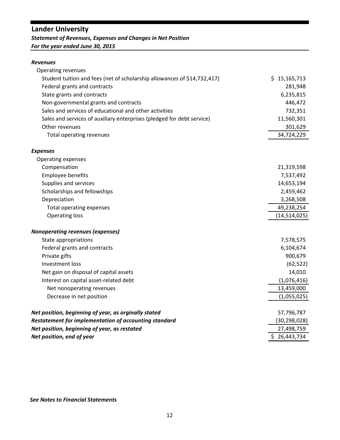# **Lander University** *Statement of Revenues, Expenses and Changes in Net Position*

*For the year ended June 30, 2015*

### *Revenues*

| Operating revenues                                                       |                   |
|--------------------------------------------------------------------------|-------------------|
| Student tuition and fees (net of scholarship allowances of \$14,732,417) | \$.<br>15,165,713 |
| Federal grants and contracts                                             | 281,948           |
| State grants and contracts                                               | 6,235,815         |
| Non-governmental grants and contracts                                    | 446,472           |
| Sales and services of educational and other activities                   | 732,351           |
| Sales and services of auxiliary enterprises (pledged for debt service)   | 11,560,301        |
| Other revenues                                                           | 301,629           |
| Total operating revenues                                                 | 34,724,229        |
| <b>Expenses</b>                                                          |                   |
| <b>Operating expenses</b>                                                |                   |
| Compensation                                                             | 21,319,598        |
| Employee benefits                                                        | 7,537,492         |
| Supplies and services                                                    | 14,653,194        |
| Scholarships and fellowships                                             | 2,459,462         |
| Depreciation                                                             | 3,268,508         |
| Total operating expenses                                                 | 49,238,254        |
| <b>Operating loss</b>                                                    | (14, 514, 025)    |
| <b>Nonoperating revenues (expenses)</b>                                  |                   |
| State appropriations                                                     | 7,578,575         |
| Federal grants and contracts                                             | 6,104,674         |
| Private gifts                                                            | 900,679           |
| Investment loss                                                          | (62, 522)         |
| Net gain on disposal of capital assets                                   | 14,010            |
| Interest on capital asset-related debt                                   | (1,076,416)       |
| Net nonoperating revenues                                                | 13,459,000        |
| Decrease in net position                                                 | (1,055,025)       |
| Net position, beginning of year, as orginally stated                     | 57,796,787        |
| Restatement for implementation of accounting standard                    | (30, 298, 028)    |
| Net position, beginning of year, as restated                             | 27,498,759        |
| Net position, end of year                                                | \$26,443,734      |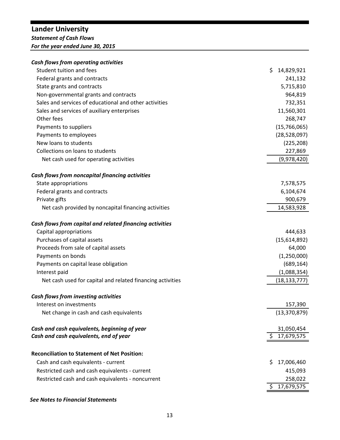# **Lander University**

*Statement of Cash Flows*

*For the year ended June 30, 2015*

| Cash flows from operating activities                       |                   |
|------------------------------------------------------------|-------------------|
| Student tuition and fees                                   | \$<br>14,829,921  |
| Federal grants and contracts                               | 241,132           |
| State grants and contracts                                 | 5,715,810         |
| Non-governmental grants and contracts                      | 964,819           |
| Sales and services of educational and other activities     | 732,351           |
| Sales and services of auxiliary enterprises                | 11,560,301        |
| Other fees                                                 | 268,747           |
| Payments to suppliers                                      | (15,766,065)      |
| Payments to employees                                      | (28, 528, 097)    |
| New loans to students                                      | (225, 208)        |
| Collections on loans to students                           | 227,869           |
| Net cash used for operating activities                     | (9,978,420)       |
| Cash flows from noncapital financing activities            |                   |
| State appropriations                                       | 7,578,575         |
| Federal grants and contracts                               | 6,104,674         |
| Private gifts                                              | 900,679           |
| Net cash provided by noncapital financing activities       | 14,583,928        |
| Cash flows from capital and related financing activities   |                   |
| Capital appropriations                                     | 444,633           |
| Purchases of capital assets                                | (15,614,892)      |
| Proceeds from sale of capital assets                       | 64,000            |
| Payments on bonds                                          | (1,250,000)       |
| Payments on capital lease obligation                       | (689, 164)        |
| Interest paid                                              | (1,088,354)       |
| Net cash used for capital and related financing activities | (18, 133, 777)    |
| Cash flows from investing activities                       |                   |
| Interest on investments                                    | 157,390           |
| Net change in cash and cash equivalents                    | (13, 370, 879)    |
| Cash and cash equivalents, beginning of year               | 31,050,454        |
| Cash and cash equivalents, end of year                     | 17,679,575<br>\$. |
| <b>Reconciliation to Statement of Net Position:</b>        |                   |
| Cash and cash equivalents - current                        | \$.<br>17,006,460 |
| Restricted cash and cash equivalents - current             | 415,093           |
| Restricted cash and cash equivalents - noncurrent          | 258,022           |
|                                                            | 17,679,575        |
|                                                            |                   |

### *See Notes to Financial Statements*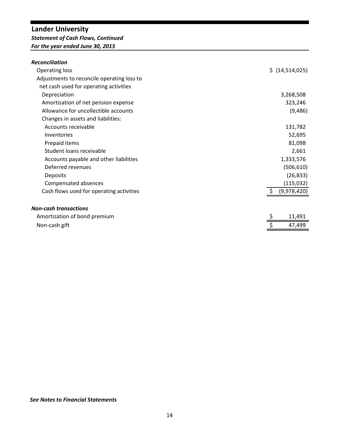### **Lander University** *Statement of Cash Flows, Continued For the year ended June 30, 2015*

| <b>Reconciliation</b>                      |                 |
|--------------------------------------------|-----------------|
| <b>Operating loss</b>                      | \$ (14,514,025) |
| Adjustments to reconcile operating loss to |                 |
| net cash used for operating activities     |                 |
| Depreciation                               | 3,268,508       |
| Amortization of net pension expense        | 323,246         |
| Allowance for uncollectible accounts       | (9,486)         |
| Changes in assets and liabilities:         |                 |
| Accounts receivable                        | 131,782         |
| Inventories                                | 52,695          |
| Prepaid items                              | 81,098          |
| Student loans receivable                   | 2,661           |
| Accounts payable and other liabilities     | 1,333,576       |
| Deferred revenues                          | (506, 610)      |
| Deposits                                   | (26, 833)       |
| Compensated absences                       | (115,032)       |
| Cash flows used for operating activities   | (9,978,420)     |
| <b>Non-cash transactions</b>               |                 |
| Amortization of bond premium               | 11,491          |
| Non-cash gift                              | 47,499          |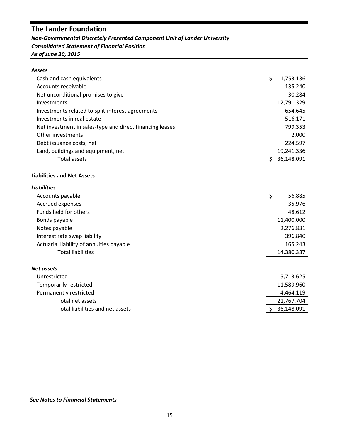## **The Lander Foundation**

*Non-Governmental Discretely Presented Component Unit of Lander University*

### *Consolidated Statement of Financial Position*

*As of June 30, 2015*

| \$<br>Cash and cash equivalents<br>1,753,136<br>Accounts receivable<br>135,240<br>Net unconditional promises to give<br>30,284<br>12,791,329<br>Investments<br>654,645<br>Investments related to split-interest agreements<br>Investments in real estate<br>516,171<br>799,353<br>Net investment in sales-type and direct financing leases<br>2,000<br>Other investments<br>224,597<br>Debt issuance costs, net<br>19,241,336<br>Land, buildings and equipment, net<br>36,148,091<br><b>Total assets</b><br>\$<br>\$<br>Accounts payable<br>56,885<br>Accrued expenses<br>35,976<br>Funds held for others<br>48,612<br>Bonds payable<br>11,400,000<br>Notes payable<br>2,276,831<br>396,840<br>Interest rate swap liability<br>Actuarial liability of annuities payable<br>165,243<br><b>Total liabilities</b><br>14,380,387<br>Unrestricted<br>5,713,625<br>Temporarily restricted<br>11,589,960<br>Permanently restricted<br>4,464,119<br>Total net assets<br>21,767,704<br>Total liabilities and net assets<br>\$<br>36,148,091 | <b>Assets</b>                     |  |
|------------------------------------------------------------------------------------------------------------------------------------------------------------------------------------------------------------------------------------------------------------------------------------------------------------------------------------------------------------------------------------------------------------------------------------------------------------------------------------------------------------------------------------------------------------------------------------------------------------------------------------------------------------------------------------------------------------------------------------------------------------------------------------------------------------------------------------------------------------------------------------------------------------------------------------------------------------------------------------------------------------------------------------|-----------------------------------|--|
|                                                                                                                                                                                                                                                                                                                                                                                                                                                                                                                                                                                                                                                                                                                                                                                                                                                                                                                                                                                                                                    |                                   |  |
|                                                                                                                                                                                                                                                                                                                                                                                                                                                                                                                                                                                                                                                                                                                                                                                                                                                                                                                                                                                                                                    |                                   |  |
|                                                                                                                                                                                                                                                                                                                                                                                                                                                                                                                                                                                                                                                                                                                                                                                                                                                                                                                                                                                                                                    |                                   |  |
|                                                                                                                                                                                                                                                                                                                                                                                                                                                                                                                                                                                                                                                                                                                                                                                                                                                                                                                                                                                                                                    |                                   |  |
|                                                                                                                                                                                                                                                                                                                                                                                                                                                                                                                                                                                                                                                                                                                                                                                                                                                                                                                                                                                                                                    |                                   |  |
|                                                                                                                                                                                                                                                                                                                                                                                                                                                                                                                                                                                                                                                                                                                                                                                                                                                                                                                                                                                                                                    |                                   |  |
|                                                                                                                                                                                                                                                                                                                                                                                                                                                                                                                                                                                                                                                                                                                                                                                                                                                                                                                                                                                                                                    |                                   |  |
|                                                                                                                                                                                                                                                                                                                                                                                                                                                                                                                                                                                                                                                                                                                                                                                                                                                                                                                                                                                                                                    |                                   |  |
|                                                                                                                                                                                                                                                                                                                                                                                                                                                                                                                                                                                                                                                                                                                                                                                                                                                                                                                                                                                                                                    |                                   |  |
|                                                                                                                                                                                                                                                                                                                                                                                                                                                                                                                                                                                                                                                                                                                                                                                                                                                                                                                                                                                                                                    |                                   |  |
|                                                                                                                                                                                                                                                                                                                                                                                                                                                                                                                                                                                                                                                                                                                                                                                                                                                                                                                                                                                                                                    |                                   |  |
|                                                                                                                                                                                                                                                                                                                                                                                                                                                                                                                                                                                                                                                                                                                                                                                                                                                                                                                                                                                                                                    | <b>Liabilities and Net Assets</b> |  |
|                                                                                                                                                                                                                                                                                                                                                                                                                                                                                                                                                                                                                                                                                                                                                                                                                                                                                                                                                                                                                                    | <b>Liabilities</b>                |  |
|                                                                                                                                                                                                                                                                                                                                                                                                                                                                                                                                                                                                                                                                                                                                                                                                                                                                                                                                                                                                                                    |                                   |  |
|                                                                                                                                                                                                                                                                                                                                                                                                                                                                                                                                                                                                                                                                                                                                                                                                                                                                                                                                                                                                                                    |                                   |  |
|                                                                                                                                                                                                                                                                                                                                                                                                                                                                                                                                                                                                                                                                                                                                                                                                                                                                                                                                                                                                                                    |                                   |  |
|                                                                                                                                                                                                                                                                                                                                                                                                                                                                                                                                                                                                                                                                                                                                                                                                                                                                                                                                                                                                                                    |                                   |  |
|                                                                                                                                                                                                                                                                                                                                                                                                                                                                                                                                                                                                                                                                                                                                                                                                                                                                                                                                                                                                                                    |                                   |  |
|                                                                                                                                                                                                                                                                                                                                                                                                                                                                                                                                                                                                                                                                                                                                                                                                                                                                                                                                                                                                                                    |                                   |  |
|                                                                                                                                                                                                                                                                                                                                                                                                                                                                                                                                                                                                                                                                                                                                                                                                                                                                                                                                                                                                                                    |                                   |  |
|                                                                                                                                                                                                                                                                                                                                                                                                                                                                                                                                                                                                                                                                                                                                                                                                                                                                                                                                                                                                                                    |                                   |  |
|                                                                                                                                                                                                                                                                                                                                                                                                                                                                                                                                                                                                                                                                                                                                                                                                                                                                                                                                                                                                                                    | <b>Net assets</b>                 |  |
|                                                                                                                                                                                                                                                                                                                                                                                                                                                                                                                                                                                                                                                                                                                                                                                                                                                                                                                                                                                                                                    |                                   |  |
|                                                                                                                                                                                                                                                                                                                                                                                                                                                                                                                                                                                                                                                                                                                                                                                                                                                                                                                                                                                                                                    |                                   |  |
|                                                                                                                                                                                                                                                                                                                                                                                                                                                                                                                                                                                                                                                                                                                                                                                                                                                                                                                                                                                                                                    |                                   |  |
|                                                                                                                                                                                                                                                                                                                                                                                                                                                                                                                                                                                                                                                                                                                                                                                                                                                                                                                                                                                                                                    |                                   |  |
|                                                                                                                                                                                                                                                                                                                                                                                                                                                                                                                                                                                                                                                                                                                                                                                                                                                                                                                                                                                                                                    |                                   |  |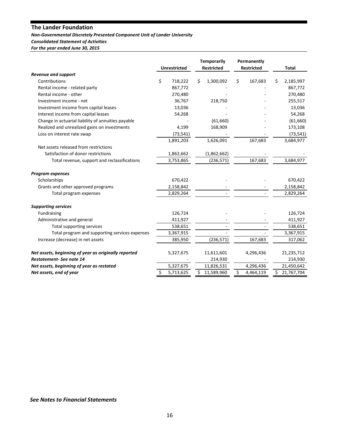### **The Lander Foundation**

*Non-Governmental Discretely Presented Component Unit of Lander University*

*Consolidated Statement of Activities*

*For the year ended June 30, 2015*

|                                                      | <b>Unrestricted</b> | <b>Temporarily</b><br><b>Restricted</b> |             |    |           | Permanently<br><b>Restricted</b> |            | <b>Total</b> |  |
|------------------------------------------------------|---------------------|-----------------------------------------|-------------|----|-----------|----------------------------------|------------|--------------|--|
| <b>Revenue and support</b>                           |                     |                                         |             |    |           |                                  |            |              |  |
| Contributions                                        | \$<br>718,222       | \$                                      | 1,300,092   | \$ | 167,683   | \$                               | 2,185,997  |              |  |
| Rental income - related party                        | 867,772             |                                         |             |    |           |                                  | 867,772    |              |  |
| Rental income - other                                | 270,480             |                                         |             |    |           |                                  | 270,480    |              |  |
| Investment income - net                              | 36,767              |                                         | 218,750     |    |           |                                  | 255,517    |              |  |
| Investment income from capital leases                | 13,036              |                                         |             |    |           |                                  | 13,036     |              |  |
| Interest income from capital leases                  | 54,268              |                                         |             |    |           |                                  | 54,268     |              |  |
| Change in actuarial liability of annuities payable   |                     |                                         | (61,660)    |    |           |                                  | (61,660)   |              |  |
| Realized and unrealized gains on investments         | 4,199               |                                         | 168,909     |    |           |                                  | 173,108    |              |  |
| Loss on interest rate swap                           | (73, 541)           |                                         |             |    |           |                                  | (73, 541)  |              |  |
|                                                      | 1,891,203           |                                         | 1,626,091   |    | 167,683   |                                  | 3,684,977  |              |  |
| Net assets released from restrictions                |                     |                                         |             |    |           |                                  |            |              |  |
| Satisfaction of donor restrictions                   | 1,862,662           |                                         | (1,862,662) |    |           |                                  |            |              |  |
| Total revenue, support and reclassifications         | 3,753,865           |                                         | (236, 571)  |    | 167,683   |                                  | 3,684,977  |              |  |
| <b>Program expenses</b>                              |                     |                                         |             |    |           |                                  |            |              |  |
| Scholarships                                         | 670,422             |                                         |             |    |           |                                  | 670,422    |              |  |
| Grants and other approved programs                   | 2,158,842           |                                         |             |    |           |                                  | 2,158,842  |              |  |
| Total program expenses                               | 2,829,264           |                                         |             |    |           |                                  | 2,829,264  |              |  |
| <b>Supporting services</b>                           |                     |                                         |             |    |           |                                  |            |              |  |
| Fundraising                                          | 126,724             |                                         |             |    |           |                                  | 126,724    |              |  |
| Administrative and general                           | 411,927             |                                         |             |    |           |                                  | 411,927    |              |  |
| Total supporting services                            | 538,651             |                                         |             |    |           |                                  | 538,651    |              |  |
| Total program and supporting services expenses       | 3,367,915           |                                         |             |    |           |                                  | 3,367,915  |              |  |
| Increase (decrease) in net assets                    | 385,950             |                                         | (236, 571)  |    | 167,683   |                                  | 317,062    |              |  |
| Net assets, beginning of year as originally reported | 5,327,675           |                                         | 11,611,601  |    | 4,296,436 |                                  | 21,235,712 |              |  |
| Restatement-See note 14                              |                     |                                         | 214,930     |    |           |                                  | 214,930    |              |  |
| Net assets, beginning of year as restated            | 5,327,675           |                                         | 11,826,531  |    | 4,296,436 |                                  | 21,450,642 |              |  |
| Net assets, end of year                              | \$<br>5,713,625     | \$                                      | 11,589,960  | \$ | 4,464,119 | \$                               | 21,767,704 |              |  |

#### *See Notes to Financial Statements*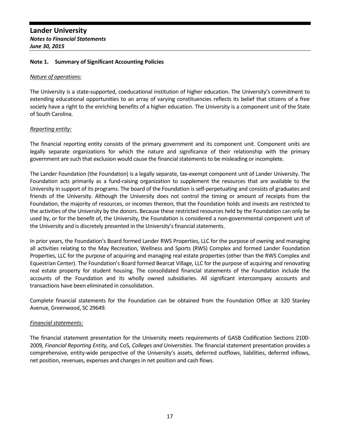### **Note 1. Summary of Significant Accounting Policies**

### *Nature of operations:*

The University is a state-supported, coeducational institution of higher education. The University's commitment to extending educational opportunities to an array of varying constituencies reflects its belief that citizens of a free society have a right to the enriching benefits of a higher education. The University is a component unit of the State of South Carolina.

### *Reporting entity:*

The financial reporting entity consists of the primary government and its component unit. Component units are legally separate organizations for which the nature and significance of their relationship with the primary government are such that exclusion would cause the financial statements to be misleading or incomplete.

The Lander Foundation (the Foundation) is a legally separate, tax-exempt component unit of Lander University. The Foundation acts primarily as a fund-raising organization to supplement the resources that are available to the University in support of its programs. The board of the Foundation is self-perpetuating and consists of graduates and friends of the University. Although the University does not control the timing or amount of receipts from the Foundation, the majority of resources, or incomes thereon, that the Foundation holds and invests are restricted to the activities of the University by the donors. Because these restricted resources held by the Foundation can only be used by, or for the benefit of, the University, the Foundation is considered a non-governmental component unit of the University and is discretely presented in the University's financial statements.

In prior years, the Foundation's Board formed Lander RWS Properties, LLC for the purpose of owning and managing all activities relating to the May Recreation, Wellness and Sports (RWS) Complex and formed Lander Foundation Properties, LLC for the purpose of acquiring and managing real estate properties (other than the RWS Complex and Equestrian Center). The Foundation's Board formed Bearcat Village, LLC for the purpose of acquiring and renovating real estate property for student housing. The consolidated financial statements of the Foundation include the accounts of the Foundation and its wholly owned subsidiaries. All significant intercompany accounts and transactions have been eliminated in consolidation.

Complete financial statements for the Foundation can be obtained from the Foundation Office at 320 Stanley Avenue, Greenwood, SC 29649.

### *Financial statements:*

The financial statement presentation for the University meets requirements of GASB Codification Sections 2100- 2009*, Financial Reporting Entity,* and Co5*, Colleges and Universities.* The financial statement presentation provides a comprehensive, entity-wide perspective of the University's assets, deferred outflows, liabilities, deferred inflows, net position, revenues, expenses and changes in net position and cash flows.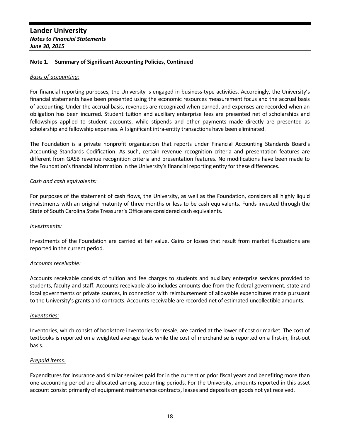### *Basis of accounting:*

For financial reporting purposes, the University is engaged in business-type activities. Accordingly, the University's financial statements have been presented using the economic resources measurement focus and the accrual basis of accounting. Under the accrual basis, revenues are recognized when earned, and expenses are recorded when an obligation has been incurred. Student tuition and auxiliary enterprise fees are presented net of scholarships and fellowships applied to student accounts, while stipends and other payments made directly are presented as scholarship and fellowship expenses. All significant intra-entity transactions have been eliminated.

The Foundation is a private nonprofit organization that reports under Financial Accounting Standards Board's Accounting Standards Codification. As such, certain revenue recognition criteria and presentation features are different from GASB revenue recognition criteria and presentation features. No modifications have been made to the Foundation's financial information in the University's financial reporting entity for these differences.

### *Cash and cash equivalents:*

For purposes of the statement of cash flows, the University, as well as the Foundation, considers all highly liquid investments with an original maturity of three months or less to be cash equivalents. Funds invested through the State of South Carolina State Treasurer's Office are considered cash equivalents.

### *Investments:*

Investments of the Foundation are carried at fair value. Gains or losses that result from market fluctuations are reported in the current period.

### *Accounts receivable:*

Accounts receivable consists of tuition and fee charges to students and auxiliary enterprise services provided to students, faculty and staff. Accounts receivable also includes amounts due from the federal government, state and local governments or private sources, in connection with reimbursement of allowable expenditures made pursuant to the University's grants and contracts. Accounts receivable are recorded net of estimated uncollectible amounts.

### *Inventories:*

Inventories, which consist of bookstore inventories for resale, are carried at the lower of cost or market. The cost of textbooks is reported on a weighted average basis while the cost of merchandise is reported on a first-in, first-out basis.

### *Prepaid items:*

Expenditures for insurance and similar services paid for in the current or prior fiscal years and benefiting more than one accounting period are allocated among accounting periods. For the University, amounts reported in this asset account consist primarily of equipment maintenance contracts, leases and deposits on goods not yet received.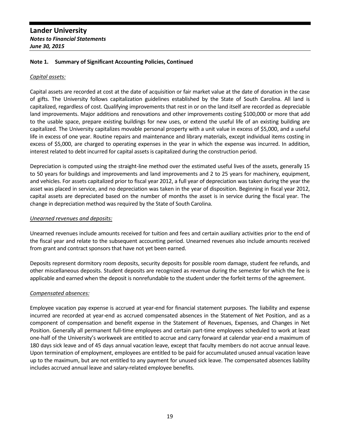### **Note 1. Summary of Significant Accounting Policies, Continued**

### *Capital assets:*

Capital assets are recorded at cost at the date of acquisition or fair market value at the date of donation in the case of gifts. The University follows capitalization guidelines established by the State of South Carolina. All land is capitalized, regardless of cost. Qualifying improvements that rest in or on the land itself are recorded as depreciable land improvements. Major additions and renovations and other improvements costing \$100,000 or more that add to the usable space, prepare existing buildings for new uses, or extend the useful life of an existing building are capitalized. The University capitalizes movable personal property with a unit value in excess of \$5,000, and a useful life in excess of one year. Routine repairs and maintenance and library materials, except individual items costing in excess of \$5,000, are charged to operating expenses in the year in which the expense was incurred. In addition, interest related to debt incurred for capital assets is capitalized during the construction period.

Depreciation is computed using the straight-line method over the estimated useful lives of the assets, generally 15 to 50 years for buildings and improvements and land improvements and 2 to 25 years for machinery, equipment, and vehicles. For assets capitalized prior to fiscal year 2012, a full year of depreciation was taken during the year the asset was placed in service, and no depreciation was taken in the year of disposition. Beginning in fiscal year 2012, capital assets are depreciated based on the number of months the asset is in service during the fiscal year. The change in depreciation method was required by the State of South Carolina.

### *Unearned revenues and deposits:*

Unearned revenues include amounts received for tuition and fees and certain auxiliary activities prior to the end of the fiscal year and relate to the subsequent accounting period. Unearned revenues also include amounts received from grant and contract sponsors that have not yet been earned.

Deposits represent dormitory room deposits, security deposits for possible room damage, student fee refunds, and other miscellaneous deposits. Student deposits are recognized as revenue during the semester for which the fee is applicable and earned when the deposit is nonrefundable to the student under the forfeit terms of the agreement.

### *Compensated absences:*

Employee vacation pay expense is accrued at year-end for financial statement purposes. The liability and expense incurred are recorded at year-end as accrued compensated absences in the Statement of Net Position, and as a component of compensation and benefit expense in the Statement of Revenues, Expenses, and Changes in Net Position. Generally all permanent full-time employees and certain part-time employees scheduled to work at least one-half of the University's workweek are entitled to accrue and carry forward at calendar year-end a maximum of 180 days sick leave and of 45 days annual vacation leave, except that faculty members do not accrue annual leave. Upon termination of employment, employees are entitled to be paid for accumulated unused annual vacation leave up to the maximum, but are not entitled to any payment for unused sick leave. The compensated absences liability includes accrued annual leave and salary-related employee benefits.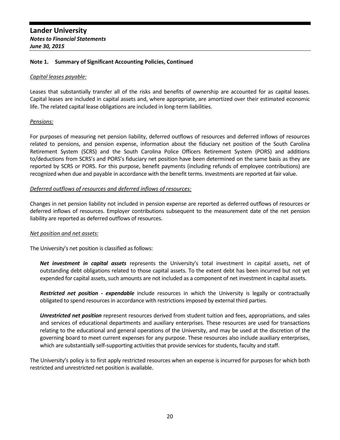### *Capital leases payable:*

Leases that substantially transfer all of the risks and benefits of ownership are accounted for as capital leases. Capital leases are included in capital assets and, where appropriate, are amortized over their estimated economic life. The related capital lease obligations are included in long-term liabilities.

### *Pensions:*

For purposes of measuring net pension liability, deferred outflows of resources and deferred inflows of resources related to pensions, and pension expense, information about the fiduciary net position of the South Carolina Retirement System (SCRS) and the South Carolina Police Officers Retirement System (PORS) and additions to/deductions from SCRS's and PORS's fiduciary net position have been determined on the same basis as they are reported by SCRS or PORS. For this purpose, benefit payments (including refunds of employee contributions) are recognized when due and payable in accordance with the benefit terms. Investments are reported at fair value.

### *Deferred outflows of resources and deferred inflows of resources:*

Changes in net pension liability not included in pension expense are reported as deferred outflows of resources or deferred inflows of resources. Employer contributions subsequent to the measurement date of the net pension liability are reported as deferred outflows of resources.

### *Net position and net assets:*

The University's net position is classified as follows:

*Net investment in capital assets* represents the University's total investment in capital assets, net of outstanding debt obligations related to those capital assets. To the extent debt has been incurred but not yet expended for capital assets, such amounts are not included as a component of net investment in capital assets.

*Restricted net position - expendable* include resources in which the University is legally or contractually obligated to spend resources in accordance with restrictions imposed by external third parties.

*Unrestricted net position* represent resources derived from student tuition and fees, appropriations, and sales and services of educational departments and auxiliary enterprises. These resources are used for transactions relating to the educational and general operations of the University, and may be used at the discretion of the governing board to meet current expenses for any purpose. These resources also include auxiliary enterprises, which are substantially self-supporting activities that provide services for students, faculty and staff.

The University's policy is to first apply restricted resources when an expense is incurred for purposes for which both restricted and unrestricted net position is available.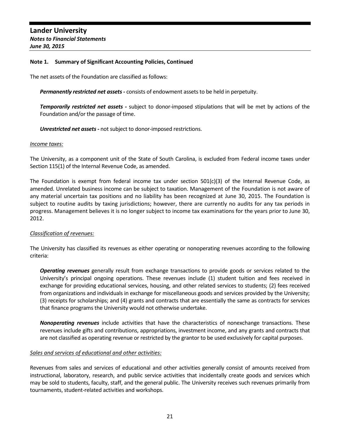The net assets of the Foundation are classified as follows:

*Permanently restricted net assets-* consists of endowment assets to be held in perpetuity.

*Temporarily restricted net assets -* subject to donor-imposed stipulations that will be met by actions of the Foundation and/or the passage of time.

*Unrestricted net assets-* not subject to donor-imposed restrictions.

#### *Income taxes:*

The University, as a component unit of the State of South Carolina, is excluded from Federal income taxes under Section 115(1) of the Internal Revenue Code, as amended.

The Foundation is exempt from federal income tax under section  $501(c)(3)$  of the Internal Revenue Code, as amended. Unrelated business income can be subject to taxation. Management of the Foundation is not aware of any material uncertain tax positions and no liability has been recognized at June 30, 2015. The Foundation is subject to routine audits by taxing jurisdictions; however, there are currently no audits for any tax periods in progress. Management believes it is no longer subject to income tax examinations for the years prior to June 30, 2012.

### *Classification of revenues:*

The University has classified its revenues as either operating or nonoperating revenues according to the following criteria:

*Operating revenues* generally result from exchange transactions to provide goods or services related to the University's principal ongoing operations. These revenues include (1) student tuition and fees received in exchange for providing educational services, housing, and other related services to students; (2) fees received from organizations and individuals in exchange for miscellaneous goods and services provided by the University; (3) receipts for scholarships; and (4) grants and contracts that are essentially the same as contracts for services that finance programs the University would not otherwise undertake.

*Nonoperating revenues* include activities that have the characteristics of nonexchange transactions. These revenues include gifts and contributions, appropriations, investment income, and any grants and contracts that are not classified as operating revenue or restricted by the grantor to be used exclusively for capital purposes.

### *Sales and services of educational and other activities:*

Revenues from sales and services of educational and other activities generally consist of amounts received from instructional, laboratory, research, and public service activities that incidentally create goods and services which may be sold to students, faculty, staff, and the general public. The University receives such revenues primarily from tournaments, student-related activities and workshops.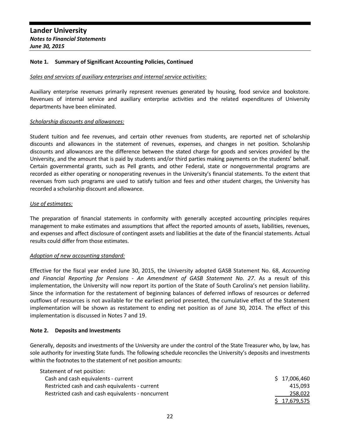### *Sales and services of auxiliary enterprises and internal service activities:*

Auxiliary enterprise revenues primarily represent revenues generated by housing, food service and bookstore. Revenues of internal service and auxiliary enterprise activities and the related expenditures of University departments have been eliminated.

### *Scholarship discounts and allowances:*

Student tuition and fee revenues, and certain other revenues from students, are reported net of scholarship discounts and allowances in the statement of revenues, expenses, and changes in net position. Scholarship discounts and allowances are the difference between the stated charge for goods and services provided by the University, and the amount that is paid by students and/or third parties making payments on the students' behalf. Certain governmental grants, such as Pell grants, and other Federal, state or nongovernmental programs are recorded as either operating or nonoperating revenues in the University's financial statements. To the extent that revenues from such programs are used to satisfy tuition and fees and other student charges, the University has recorded a scholarship discount and allowance.

### *Use of estimates:*

The preparation of financial statements in conformity with generally accepted accounting principles requires management to make estimates and assumptions that affect the reported amounts of assets, liabilities, revenues, and expenses and affect disclosure of contingent assets and liabilities at the date of the financial statements. Actual results could differ from those estimates.

### *Adoption of new accounting standard:*

Effective for the fiscal year ended June 30, 2015, the University adopted GASB Statement No. 68, *Accounting and Financial Reporting for Pensions - An Amendment of GASB Statement No. 27*. As a result of this implementation, the University will now report its portion of the State of South Carolina's net pension liability. Since the information for the restatement of beginning balances of deferred inflows of resources or deferred outflows of resources is not available for the earliest period presented, the cumulative effect of the Statement implementation will be shown as restatement to ending net position as of June 30, 2014. The effect of this implementation is discussed in Notes 7 and 19.

### **Note 2. Deposits and Investments**

Generally, deposits and investments of the University are under the control of the State Treasurer who, by law, has sole authority for investing State funds. The following schedule reconciles the University's deposits and investments within the footnotes to the statement of net position amounts:

| Statement of net position:                        |              |
|---------------------------------------------------|--------------|
| Cash and cash equivalents - current               | \$17,006,460 |
| Restricted cash and cash equivalents - current    | 415.093      |
| Restricted cash and cash equivalents - noncurrent | 258,022      |
|                                                   | \$17.679.575 |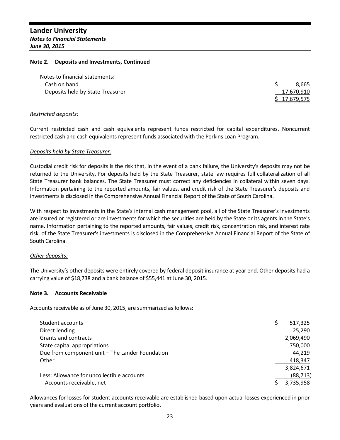### **Note 2. Deposits and Investments, Continued**

| Notes to financial statements:   |              |
|----------------------------------|--------------|
| Cash on hand                     | 8.665        |
| Deposits held by State Treasurer | 17,670,910   |
|                                  | \$17,679,575 |

### *Restricted deposits:*

Current restricted cash and cash equivalents represent funds restricted for capital expenditures. Noncurrent restricted cash and cash equivalents represent funds associated with the Perkins Loan Program.

### *Deposits held by State Treasurer:*

Custodial credit risk for deposits is the risk that, in the event of a bank failure, the University's deposits may not be returned to the University. For deposits held by the State Treasurer, state law requires full collateralization of all State Treasurer bank balances. The State Treasurer must correct any deficiencies in collateral within seven days. Information pertaining to the reported amounts, fair values, and credit risk of the State Treasurer's deposits and investments is disclosed in the Comprehensive Annual Financial Report of the State of South Carolina.

With respect to investments in the State's internal cash management pool, all of the State Treasurer's investments are insured or registered or are investments for which the securities are held by the State or its agents in the State's name. Information pertaining to the reported amounts, fair values, credit risk, concentration risk, and interest rate risk, of the State Treasurer's investments is disclosed in the Comprehensive Annual Financial Report of the State of South Carolina.

### *Other deposits:*

The University's other deposits were entirely covered by federal deposit insurance at year end. Other deposits had a carrying value of \$18,738 and a bank balance of \$55,441 at June 30, 2015.

### **Note 3. Accounts Receivable**

Accounts receivable as of June 30, 2015, are summarized as follows:

| Student accounts                                | 517,325   |
|-------------------------------------------------|-----------|
| Direct lending                                  | 25,290    |
| Grants and contracts                            | 2,069,490 |
| State capital appropriations                    | 750,000   |
| Due from component unit - The Lander Foundation | 44,219    |
| Other                                           | 418,347   |
|                                                 | 3,824,671 |
| Less: Allowance for uncollectible accounts      | (88, 713) |
| Accounts receivable, net                        | 3,735,958 |

Allowances for losses for student accounts receivable are established based upon actual losses experienced in prior years and evaluations of the current account portfolio.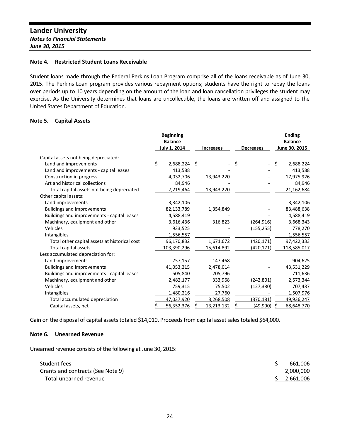### **Note 4. Restricted Student Loans Receivable**

Student loans made through the Federal Perkins Loan Program comprise all of the loans receivable as of June 30, 2015. The Perkins Loan program provides various repayment options; students have the right to repay the loans over periods up to 10 years depending on the amount of the loan and loan cancellation privileges the student may exercise. As the University determines that loans are uncollectible, the loans are written off and assigned to the United States Department of Education.

### **Note 5. Capital Assets**

|                                               | <b>Beginning</b><br><b>Balance</b> |    |                  |                  |    | <b>Ending</b><br><b>Balance</b> |
|-----------------------------------------------|------------------------------------|----|------------------|------------------|----|---------------------------------|
|                                               | July 1, 2014                       |    | <b>Increases</b> | <b>Decreases</b> |    | June 30, 2015                   |
| Capital assets not being depreciated:         |                                    |    |                  |                  |    |                                 |
| Land and improvements                         | \$<br>2,688,224                    | Ŝ. |                  | \$               | Ŝ. | 2,688,224                       |
| Land and improvements - capital leases        | 413,588                            |    |                  |                  |    | 413,588                         |
| Construction in progress                      | 4,032,706                          |    | 13,943,220       |                  |    | 17,975,926                      |
| Art and historical collections                | 84,946                             |    |                  |                  |    | 84,946                          |
| Total capital assets not being depreciated    | 7,219,464                          |    | 13,943,220       |                  |    | 21,162,684                      |
| Other capital assets:                         |                                    |    |                  |                  |    |                                 |
| Land improvements                             | 3,342,106                          |    |                  |                  |    | 3,342,106                       |
| <b>Buildings and improvements</b>             | 82,133,789                         |    | 1,354,849        |                  |    | 83,488,638                      |
| Buildings and improvements - capital leases   | 4,588,419                          |    |                  |                  |    | 4,588,419                       |
| Machinery, equipment and other                | 3,616,436                          |    | 316,823          | (264, 916)       |    | 3,668,343                       |
| Vehicles                                      | 933,525                            |    |                  | (155, 255)       |    | 778,270                         |
| Intangibles                                   | 1,556,557                          |    |                  |                  |    | 1,556,557                       |
| Total other capital assets at historical cost | 96,170,832                         |    | 1,671,672        | (420, 171)       |    | 97,422,333                      |
| Total capital assets                          | 103,390,296                        |    | 15,614,892       | (420, 171)       |    | 118,585,017                     |
| Less accumulated depreciation for:            |                                    |    |                  |                  |    |                                 |
| Land improvements                             | 757,157                            |    | 147,468          |                  |    | 904,625                         |
| <b>Buildings and improvements</b>             | 41,053,215                         |    | 2,478,014        |                  |    | 43,531,229                      |
| Buildings and improvements - capital leases   | 505,840                            |    | 205,796          |                  |    | 711,636                         |
| Machinery, equipment and other                | 2,482,177                          |    | 333,968          | (242, 801)       |    | 2,573,344                       |
| Vehicles                                      | 759,315                            |    | 75,502           | (127, 380)       |    | 707,437                         |
| Intangibles                                   | 1,480,216                          |    | 27,760           |                  |    | 1,507,976                       |
| Total accumulated depreciation                | 47,037,920                         |    | 3,268,508        | (370,181)        |    | 49,936,247                      |
| Capital assets, net                           | 56,352,376                         |    | 13,213,132       | (49,990)         |    | 68,648,770                      |

Gain on the disposal of capital assets totaled \$14,010. Proceeds from capital asset sales totaled \$64,000.

### **Note 6. Unearned Revenue**

Unearned revenue consists of the following at June 30, 2015:

| Student fees                      | 661,006     |
|-----------------------------------|-------------|
| Grants and contracts (See Note 9) | 2,000,000   |
| Total unearned revenue            | \$2,661,006 |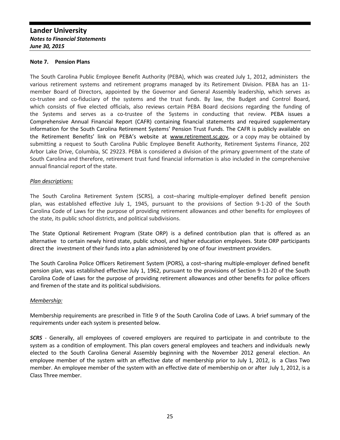### **Note 7. Pension Plans**

The South Carolina Public Employee Benefit Authority (PEBA), which was created July 1, 2012, administers the various retirement systems and retirement programs managed by its Retirement Division. PEBA has an 11 member Board of Directors, appointed by the Governor and General Assembly leadership, which serves as co-trustee and co-fiduciary of the systems and the trust funds. By law, the Budget and Control Board, which consists of five elected officials, also reviews certain PEBA Board decisions regarding the funding of the Systems and serves as a co-trustee of the Systems in conducting that review. PEBA issues a Comprehensive Annual Financial Report (CAFR) containing financial statements and required supplementary information for the South Carolina Retirement Systems' Pension Trust Funds. The CAFR is publicly available on the Retirement Benefits' link on PEBA's website at [www.retirement.sc.gov,](http://www.retirement.sc.gov/) or a copy may be obtained by submitting a request to South Carolina Public Employee Benefit Authority, Retirement Systems Finance, 202 Arbor Lake Drive, Columbia, SC 29223. PEBA is considered a division of the primary government of the state of South Carolina and therefore, retirement trust fund financial information is also included in the comprehensive annual financial report of the state.

### *Plan descriptions:*

The South Carolina Retirement System (SCRS), a cost–sharing multiple-employer defined benefit pension plan, was established effective July 1, 1945, pursuant to the provisions of Section 9-1-20 of the South Carolina Code of Laws for the purpose of providing retirement allowances and other benefits for employees of the state, its public school districts, and political subdivisions.

The State Optional Retirement Program (State ORP) is a defined contribution plan that is offered as an alternative to certain newly hired state, public school, and higher education employees. State ORP participants direct the investment of their funds into a plan administered by one of four investment providers.

The South Carolina Police Officers Retirement System (PORS), a cost–sharing multiple-employer defined benefit pension plan, was established effective July 1, 1962, pursuant to the provisions of Section 9-11-20 of the South Carolina Code of Laws for the purpose of providing retirement allowances and other benefits for police officers and firemen of the state and its political subdivisions.

### *Membership:*

Membership requirements are prescribed in Title 9 of the South Carolina Code of Laws. A brief summary of the requirements under each system is presented below.

*SCRS* - Generally, all employees of covered employers are required to participate in and contribute to the system as a condition of employment. This plan covers general employees and teachers and individuals newly elected to the South Carolina General Assembly beginning with the November 2012 general election. An employee member of the system with an effective date of membership prior to July 1, 2012, is a Class Two member. An employee member of the system with an effective date of membership on or after July 1, 2012, is a Class Three member.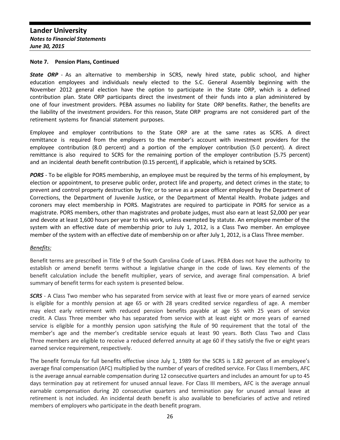### **Note 7. Pension Plans, Continued**

*State ORP* - As an alternative to membership in SCRS, newly hired state, public school, and higher education employees and individuals newly elected to the S.C. General Assembly beginning with the November 2012 general election have the option to participate in the State ORP, which is a defined contribution plan. State ORP participants direct the investment of their funds into a plan administered by one of four investment providers. PEBA assumes no liability for State ORP benefits. Rather, the benefits are the liability of the investment providers. For this reason, State ORP programs are not considered part of the retirement systems for financial statement purposes.

Employee and employer contributions to the State ORP are at the same rates as SCRS. A direct remittance is required from the employers to the member's account with investment providers for the employee contribution (8.0 percent) and a portion of the employer contribution (5.0 percent). A direct remittance is also required to SCRS for the remaining portion of the employer contribution (5.75 percent) and an incidental death benefit contribution (0.15 percent), if applicable, which is retained by SCRS.

*PORS* - To be eligible for PORS membership, an employee must be required by the terms of his employment, by election or appointment, to preserve public order, protect life and property, and detect crimes in the state; to prevent and control property destruction by fire; or to serve as a peace officer employed by the Department of Corrections, the Department of Juvenile Justice, or the Department of Mental Health. Probate judges and coroners may elect membership in PORS. Magistrates are required to participate in PORS for service as a magistrate. PORS members, other than magistrates and probate judges, must also earn at least \$2,000 per year and devote at least 1,600 hours per year to this work, unless exempted by statute. An employee member of the system with an effective date of membership prior to July 1, 2012, is a Class Two member. An employee member of the system with an effective date of membership on or after July 1, 2012, is a Class Three member.

### *Benefits:*

Benefit terms are prescribed in Title 9 of the South Carolina Code of Laws. PEBA does not have the authority to establish or amend benefit terms without a legislative change in the code of laws. Key elements of the benefit calculation include the benefit multiplier, years of service, and average final compensation. A brief summary of benefit terms for each system is presented below.

*SCRS* - A Class Two member who has separated from service with at least five or more years of earned service is eligible for a monthly pension at age 65 or with 28 years credited service regardless of age. A member may elect early retirement with reduced pension benefits payable at age 55 with 25 years of service credit. A Class Three member who has separated from service with at least eight or more years of earned service is eligible for a monthly pension upon satisfying the Rule of 90 requirement that the total of the member's age and the member's creditable service equals at least 90 years. Both Class Two and Class Three members are eligible to receive a reduced deferred annuity at age 60 if they satisfy the five or eight years earned service requirement, respectively.

The benefit formula for full benefits effective since July 1, 1989 for the SCRS is 1.82 percent of an employee's average final compensation (AFC) multiplied by the number of years of credited service. For Class II members, AFC is the average annual earnable compensation during 12 consecutive quarters and includes an amount for up to 45 days termination pay at retirement for unused annual leave. For Class III members, AFC is the average annual earnable compensation during 20 consecutive quarters and termination pay for unused annual leave at retirement is not included. An incidental death benefit is also available to beneficiaries of active and retired members of employers who participate in the death benefit program.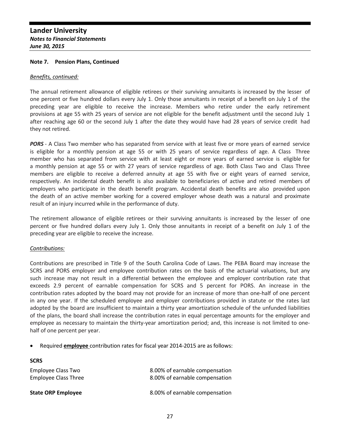### **Note 7. Pension Plans, Continued**

### *Benefits, continued:*

The annual retirement allowance of eligible retirees or their surviving annuitants is increased by the lesser of one percent or five hundred dollars every July 1. Only those annuitants in receipt of a benefit on July 1 of the preceding year are eligible to receive the increase. Members who retire under the early retirement provisions at age 55 with 25 years of service are not eligible for the benefit adjustment until the second July 1 after reaching age 60 or the second July 1 after the date they would have had 28 years of service credit had they not retired.

*PORS* - A Class Two member who has separated from service with at least five or more years of earned service is eligible for a monthly pension at age 55 or with 25 years of service regardless of age. A Class Three member who has separated from service with at least eight or more years of earned service is eligible for a monthly pension at age 55 or with 27 years of service regardless of age. Both Class Two and Class Three members are eligible to receive a deferred annuity at age 55 with five or eight years of earned service, respectively. An incidental death benefit is also available to beneficiaries of active and retired members of employers who participate in the death benefit program. Accidental death benefits are also provided upon the death of an active member working for a covered employer whose death was a natural and proximate result of an injury incurred while in the performance of duty.

The retirement allowance of eligible retirees or their surviving annuitants is increased by the lesser of one percent or five hundred dollars every July 1. Only those annuitants in receipt of a benefit on July 1 of the preceding year are eligible to receive the increase.

### *Contributions:*

**SCRS**

Contributions are prescribed in Title 9 of the South Carolina Code of Laws. The PEBA Board may increase the SCRS and PORS employer and employee contribution rates on the basis of the actuarial valuations, but any such increase may not result in a differential between the employee and employer contribution rate that exceeds 2.9 percent of earnable compensation for SCRS and 5 percent for PORS. An increase in the contribution rates adopted by the board may not provide for an increase of more than one-half of one percent in any one year. If the scheduled employee and employer contributions provided in statute or the rates last adopted by the board are insufficient to maintain a thirty year amortization schedule of the unfunded liabilities of the plans, the board shall increase the contribution rates in equal percentage amounts for the employer and employee as necessary to maintain the thirty-year amortization period; and, this increase is not limited to onehalf of one percent per year.

Required **employee** contribution rates for fiscal year 2014-2015 are as follows:

| ----                      |                                |
|---------------------------|--------------------------------|
| Employee Class Two        | 8.00% of earnable compensation |
| Employee Class Three      | 8.00% of earnable compensation |
| <b>State ORP Employee</b> | 8.00% of earnable compensation |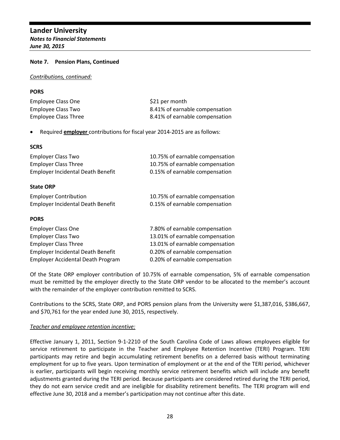### **Note 7. Pension Plans, Continued**

### *Contributions, continued:*

### **PORS**

| Employee Class One   | \$21 per month                 |
|----------------------|--------------------------------|
| Employee Class Two   | 8.41% of earnable compensation |
| Employee Class Three | 8.41% of earnable compensation |

Required **employer** contributions for fiscal year 2014-2015 are as follows:

### **SCRS**

| <b>Employer Class Two</b>         | 10.75% of earnable compensation |
|-----------------------------------|---------------------------------|
| <b>Employer Class Three</b>       | 10.75% of earnable compensation |
| Employer Incidental Death Benefit | 0.15% of earnable compensation  |
|                                   |                                 |
| <b>State ORP</b>                  |                                 |
| <b>Employer Contribution</b>      | 10.75% of earnable compensation |
| Employer Incidental Death Benefit | 0.15% of earnable compensation  |

### **PORS**

| <b>Employer Class One</b>                | 7.80% of earnable compensation  |
|------------------------------------------|---------------------------------|
| <b>Employer Class Two</b>                | 13.01% of earnable compensation |
| <b>Employer Class Three</b>              | 13.01% of earnable compensation |
| <b>Employer Incidental Death Benefit</b> | 0.20% of earnable compensation  |
| <b>Employer Accidental Death Program</b> | 0.20% of earnable compensation  |

Of the State ORP employer contribution of 10.75% of earnable compensation, 5% of earnable compensation must be remitted by the employer directly to the State ORP vendor to be allocated to the member's account with the remainder of the employer contribution remitted to SCRS.

Contributions to the SCRS, State ORP, and PORS pension plans from the University were \$1,387,016, \$386,667, and \$70,761 for the year ended June 30, 2015, respectively.

### *Teacher and employee retention incentive:*

Effective January 1, 2011, Section 9-1-2210 of the South Carolina Code of Laws allows employees eligible for service retirement to participate in the Teacher and Employee Retention Incentive (TERI) Program. TERI participants may retire and begin accumulating retirement benefits on a deferred basis without terminating employment for up to five years. Upon termination of employment or at the end of the TERI period, whichever is earlier, participants will begin receiving monthly service retirement benefits which will include any benefit adjustments granted during the TERI period. Because participants are considered retired during the TERI period, they do not earn service credit and are ineligible for disability retirement benefits. The TERI program will end effective June 30, 2018 and a member's participation may not continue after this date.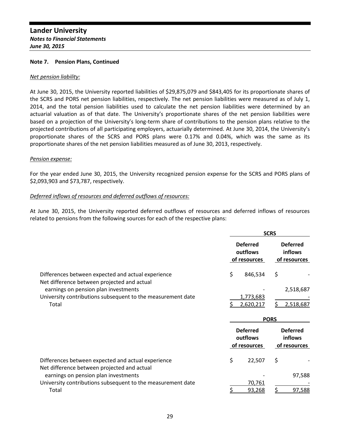### **Note 7. Pension Plans, Continued**

### *Net pension liability:*

At June 30, 2015, the University reported liabilities of \$29,875,079 and \$843,405 for its proportionate shares of the SCRS and PORS net pension liabilities, respectively. The net pension liabilities were measured as of July 1, 2014, and the total pension liabilities used to calculate the net pension liabilities were determined by an actuarial valuation as of that date. The University's proportionate shares of the net pension liabilities were based on a projection of the University's long-term share of contributions to the pension plans relative to the projected contributions of all participating employers, actuarially determined. At June 30, 2014, the University's proportionate shares of the SCRS and PORS plans were 0.17% and 0.04%, which was the same as its proportionate shares of the net pension liabilities measured as of June 30, 2013, respectively.

### *Pension expense:*

For the year ended June 30, 2015, the University recognized pension expense for the SCRS and PORS plans of \$2,093,903 and \$73,787, respectively.

### *Deferred inflows of resources and deferred outflows of resources:*

At June 30, 2015, the University reported deferred outflows of resources and deferred inflows of resources related to pensions from the following sources for each of the respective plans:

|                                                                                                                                                                                                                   | <b>SCRS</b>                                 |             |                                            |
|-------------------------------------------------------------------------------------------------------------------------------------------------------------------------------------------------------------------|---------------------------------------------|-------------|--------------------------------------------|
|                                                                                                                                                                                                                   | <b>Deferred</b><br>outflows<br>of resources |             | <b>Deferred</b><br>inflows<br>of resources |
| Differences between expected and actual experience<br>Net difference between projected and actual<br>earnings on pension plan investments<br>University contributions subsequent to the measurement date<br>Total | \$<br>846,534<br>1,773,683<br>2,620,217     | \$          | 2,518,687<br>2,518,687                     |
|                                                                                                                                                                                                                   |                                             | <b>PORS</b> |                                            |
|                                                                                                                                                                                                                   | <b>Deferred</b><br>outflows<br>of resources |             | <b>Deferred</b><br>inflows<br>of resources |
| Differences between expected and actual experience<br>Net difference between projected and actual                                                                                                                 | \$<br>22,507                                | \$          |                                            |
| earnings on pension plan investments                                                                                                                                                                              |                                             |             | 97,588                                     |
| University contributions subsequent to the measurement date<br>Total                                                                                                                                              | 70,761<br>93,268                            |             | 97,588                                     |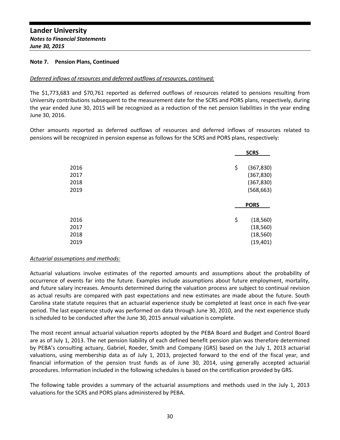### **Note 7. Pension Plans, Continued**

### *Deferred inflows of resources and deferred outflows of resources, continued:*

The \$1,773,683 and \$70,761 reported as deferred outflows of resources related to pensions resulting from University contributions subsequent to the measurement date for the SCRS and PORS plans, respectively, during the year ended June 30, 2015 will be recognized as a reduction of the net pension liabilities in the year ending June 30, 2016.

Other amounts reported as deferred outflows of resources and deferred inflows of resources related to pensions will be recognized in pension expense as follows for the SCRS and PORS plans, respectively:

|                              | <b>SCRS</b>                                                |
|------------------------------|------------------------------------------------------------|
| 2016<br>2017<br>2018<br>2019 | \$<br>(367, 830)<br>(367, 830)<br>(367, 830)<br>(568, 663) |
|                              | <b>PORS</b>                                                |
| 2016<br>2017<br>2018<br>2019 | \$<br>(18, 560)<br>(18, 560)<br>(18, 560)<br>(19, 401)     |

### *Actuarial assumptions and methods:*

Actuarial valuations involve estimates of the reported amounts and assumptions about the probability of occurrence of events far into the future. Examples include assumptions about future employment, mortality, and future salary increases. Amounts determined during the valuation process are subject to continual revision as actual results are compared with past expectations and new estimates are made about the future. South Carolina state statute requires that an actuarial experience study be completed at least once in each five-year period. The last experience study was performed on data through June 30, 2010, and the next experience study is scheduled to be conducted after the June 30, 2015 annual valuation is complete.

The most recent annual actuarial valuation reports adopted by the PEBA Board and Budget and Control Board are as of July 1, 2013. The net pension liability of each defined benefit pension plan was therefore determined by PEBA's consulting actuary, Gabriel, Roeder, Smith and Company (GRS) based on the July 1, 2013 actuarial valuations, using membership data as of July 1, 2013, projected forward to the end of the fiscal year, and financial information of the pension trust funds as of June 30, 2014, using generally accepted actuarial procedures. Information included in the following schedules is based on the certification provided by GRS.

The following table provides a summary of the actuarial assumptions and methods used in the July 1, 2013 valuations for the SCRS and PORS plans administered by PEBA.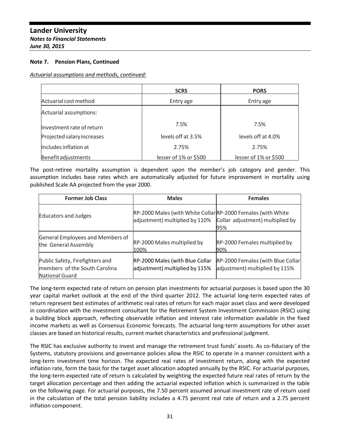### **Note 7. Pension Plans, Continued**

*Actuarial assumptions and methods, continued:*

|                            | <b>SCRS</b>           | <b>PORS</b>           |
|----------------------------|-----------------------|-----------------------|
| Actuarial cost method      | Entry age             | Entry age             |
| Actuarial assumptions:     |                       |                       |
| Investment rate of return  | 7.5%                  | 7.5%                  |
| Projected salary increases | levels off at 3.5%    | levels off at 4.0%    |
| Includes inflation at      | 2.75%                 | 2.75%                 |
| <b>Benefit adjustments</b> | lesser of 1% or \$500 | lesser of 1% or \$500 |

The post-retiree mortality assumption is dependent upon the member's job category and gender. This assumption includes base rates which are automatically adjusted for future improvement in mortality using published Scale AA projected from the year 2000.

| <b>Former Job Class</b>                                                                   | <b>Males</b>                                                                                   | <b>Females</b>                                                      |
|-------------------------------------------------------------------------------------------|------------------------------------------------------------------------------------------------|---------------------------------------------------------------------|
| <b>Educators and Judges</b>                                                               | RP-2000 Males (with White Collar RP-2000 Females (with White<br>adjustment) multiplied by 110% | Collar adjustment) multiplied by<br>95%                             |
| General Employees and Members of<br>the General Assembly                                  | RP-2000 Males multiplied by<br>100%                                                            | RP-2000 Females multiplied by<br>90%                                |
| Public Safety, Firefighters and<br>members of the South Carolina<br><b>National Guard</b> | RP-2000 Males (with Blue Collar<br>adjustment) multiplied by 115%                              | RP-2000 Females (with Blue Collar<br>adjustment) multiplied by 115% |

The long-term expected rate of return on pension plan investments for actuarial purposes is based upon the 30 year capital market outlook at the end of the third quarter 2012. The actuarial long-term expected rates of return represent best estimates of arithmetic real rates of return for each major asset class and were developed in coordination with the investment consultant for the Retirement System Investment Commission (RSIC) using a building block approach, reflecting observable inflation and interest rate information available in the fixed income markets as well as Consensus Economic forecasts. The actuarial long-term assumptions for other asset classes are based on historical results, current market characteristics and professional judgment.

The RSIC has exclusive authority to invest and manage the retirement trust funds' assets. As co-fiduciary of the Systems, statutory provisions and governance policies allow the RSIC to operate in a manner consistent with a long-term investment time horizon. The expected real rates of investment return, along with the expected inflation rate, form the basis for the target asset allocation adopted annually by the RSIC. For actuarial purposes, the long-term expected rate of return is calculated by weighting the expected future real rates of return by the target allocation percentage and then adding the actuarial expected inflation which is summarized in the table on the following page. For actuarial purposes, the 7.50 percent assumed annual investment rate of return used in the calculation of the total pension liability includes a 4.75 percent real rate of return and a 2.75 percent inflation component.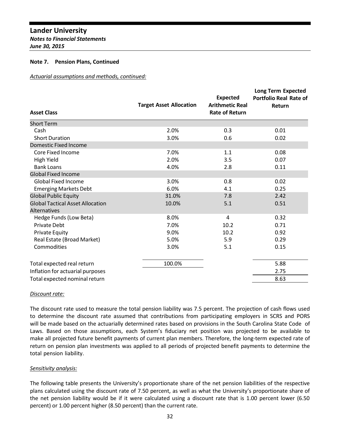### **Note 7. Pension Plans, Continued**

### *Actuarial assumptions and methods, continued:*

| <b>Asset Class</b>                      | <b>Target Asset Allocation</b> | <b>Expected</b><br><b>Arithmetic Real</b><br><b>Rate of Return</b> | <b>Long Term Expected</b><br><b>Portfolio Real Rate of</b><br>Return |
|-----------------------------------------|--------------------------------|--------------------------------------------------------------------|----------------------------------------------------------------------|
| <b>Short Term</b>                       |                                |                                                                    |                                                                      |
| Cash                                    | 2.0%                           | 0.3                                                                | 0.01                                                                 |
| <b>Short Duration</b>                   | 3.0%                           | 0.6                                                                | 0.02                                                                 |
| <b>Domestic Fixed Income</b>            |                                |                                                                    |                                                                      |
| Core Fixed Income                       | 7.0%                           | 1.1                                                                | 0.08                                                                 |
| High Yield                              | 2.0%                           | 3.5                                                                | 0.07                                                                 |
| <b>Bank Loans</b>                       | 4.0%                           | 2.8                                                                | 0.11                                                                 |
| <b>Global Fixed Income</b>              |                                |                                                                    |                                                                      |
| <b>Global Fixed Income</b>              | 3.0%                           | 0.8                                                                | 0.02                                                                 |
| <b>Emerging Markets Debt</b>            | 6.0%                           | 4.1                                                                | 0.25                                                                 |
| <b>Global Public Equity</b>             | 31.0%                          | 7.8                                                                | 2.42                                                                 |
| <b>Global Tactical Asset Allocation</b> | 10.0%                          | 5.1                                                                | 0.51                                                                 |
| <b>Alternatives</b>                     |                                |                                                                    |                                                                      |
| Hedge Funds (Low Beta)                  | 8.0%                           | $\overline{4}$                                                     | 0.32                                                                 |
| <b>Private Debt</b>                     | 7.0%                           | 10.2                                                               | 0.71                                                                 |
| <b>Private Equity</b>                   | 9.0%                           | 10.2                                                               | 0.92                                                                 |
| Real Estate (Broad Market)              | 5.0%                           | 5.9                                                                | 0.29                                                                 |
| Commodities                             | 3.0%                           | 5.1                                                                | 0.15                                                                 |
| Total expected real return              | 100.0%                         |                                                                    | 5.88                                                                 |
| Inflation for actuarial purposes        |                                |                                                                    | 2.75                                                                 |
| Total expected nominal return           |                                |                                                                    | 8.63                                                                 |

### *Discount rate:*

The discount rate used to measure the total pension liability was 7.5 percent. The projection of cash flows used to determine the discount rate assumed that contributions from participating employers in SCRS and PORS will be made based on the actuarially determined rates based on provisions in the South Carolina State Code of Laws. Based on those assumptions, each System's fiduciary net position was projected to be available to make all projected future benefit payments of current plan members. Therefore, the long-term expected rate of return on pension plan investments was applied to all periods of projected benefit payments to determine the total pension liability.

### *Sensitivity analysis:*

The following table presents the University's proportionate share of the net pension liabilities of the respective plans calculated using the discount rate of 7.50 percent, as well as what the University's proportionate share of the net pension liability would be if it were calculated using a discount rate that is 1.00 percent lower (6.50 percent) or 1.00 percent higher (8.50 percent) than the current rate.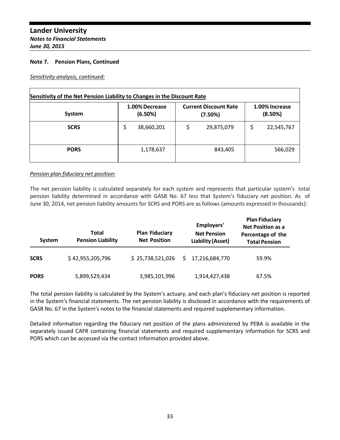### **Note 7. Pension Plans, Continued**

*Sensitivity analysis, continued:*

| Sensitivity of the Net Pension Liability to Changes in the Discount Rate |    |                           |  |                                         |  |                           |  |  |  |
|--------------------------------------------------------------------------|----|---------------------------|--|-----------------------------------------|--|---------------------------|--|--|--|
| System                                                                   |    | 1.00% Decrease<br>(6.50%) |  | <b>Current Discount Rate</b><br>(7.50%) |  | 1.00% Increase<br>(8.50%) |  |  |  |
| <b>SCRS</b>                                                              | \$ | 38,660,201                |  | 29,875,079                              |  | 22,545,767                |  |  |  |
| <b>PORS</b>                                                              |    | 1,178,637                 |  | 843,405                                 |  | 566,029                   |  |  |  |

### *Pension plan fiduciary net position:*

The net pension liability is calculated separately for each system and represents that particular system's total pension liability determined in accordance with GASB No. 67 less that System's fiduciary net position. As of June 30, 2014, net pension liability amounts for SCRS and PORS are as follows (amounts expressed in thousands):

| <b>System</b> | <b>Total</b><br><b>Pension Liability</b> | <b>Plan Fiduciary</b><br><b>Net Position</b> | <b>Employers'</b><br><b>Net Pension</b><br><b>Liability (Asset)</b> | <b>Plan Fiduciary</b><br><b>Net Position as a</b><br>Percentage of the<br><b>Total Pension</b> |
|---------------|------------------------------------------|----------------------------------------------|---------------------------------------------------------------------|------------------------------------------------------------------------------------------------|
| <b>SCRS</b>   | \$42,955,205,796                         | \$25,738,521,026                             | 17,216,684,770                                                      | 59.9%                                                                                          |
| <b>PORS</b>   | 5,899,529,434                            | 3,985,101,996                                | 1,914,427,438                                                       | 67.5%                                                                                          |

The total pension liability is calculated by the System's actuary, and each plan's fiduciary net position is reported in the System's financial statements. The net pension liability is disclosed in accordance with the requirements of GASB No. 67 in the System's notes to the financial statements and required supplementary information.

Detailed information regarding the fiduciary net position of the plans administered by PEBA is available in the separately issued CAFR containing financial statements and required supplementary information for SCRS and PORS which can be accessed via the contact information provided above.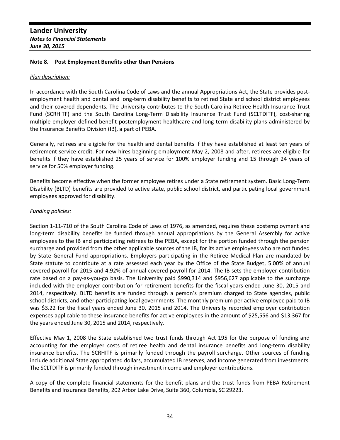### **Note 8. Post Employment Benefits other than Pensions**

### *Plan description:*

In accordance with the South Carolina Code of Laws and the annual Appropriations Act, the State provides postemployment health and dental and long-term disability benefits to retired State and school district employees and their covered dependents. The University contributes to the South Carolina Retiree Health Insurance Trust Fund (SCRHITF) and the South Carolina Long-Term Disability Insurance Trust Fund (SCLTDITF), cost-sharing multiple employer defined benefit postemployment healthcare and long-term disability plans administered by the Insurance Benefits Division (IB), a part of PEBA.

Generally, retirees are eligible for the health and dental benefits if they have established at least ten years of retirement service credit. For new hires beginning employment May 2, 2008 and after, retirees are eligible for benefits if they have established 25 years of service for 100% employer funding and 15 through 24 years of service for 50% employer funding.

Benefits become effective when the former employee retires under a State retirement system. Basic Long-Term Disability (BLTD) benefits are provided to active state, public school district, and participating local government employees approved for disability.

### *Funding policies:*

Section 1-11-710 of the South Carolina Code of Laws of 1976, as amended, requires these postemployment and long-term disability benefits be funded through annual appropriations by the General Assembly for active employees to the IB and participating retirees to the PEBA, except for the portion funded through the pension surcharge and provided from the other applicable sources of the IB, for its active employees who are not funded by State General Fund appropriations. Employers participating in the Retiree Medical Plan are mandated by State statute to contribute at a rate assessed each year by the Office of the State Budget, 5.00% of annual covered payroll for 2015 and 4.92% of annual covered payroll for 2014. The IB sets the employer contribution rate based on a pay-as-you-go basis. The University paid \$990,314 and \$956,627 applicable to the surcharge included with the employer contribution for retirement benefits for the fiscal years ended June 30, 2015 and 2014, respectively. BLTD benefits are funded through a person's premium charged to State agencies, public school districts, and other participating local governments. The monthly premium per active employee paid to IB was \$3.22 for the fiscal years ended June 30, 2015 and 2014. The University recorded employer contribution expenses applicable to these insurance benefits for active employees in the amount of \$25,556 and \$13,367 for the years ended June 30, 2015 and 2014, respectively.

Effective May 1, 2008 the State established two trust funds through Act 195 for the purpose of funding and accounting for the employer costs of retiree health and dental insurance benefits and long-term disability insurance benefits. The SCRHITF is primarily funded through the payroll surcharge. Other sources of funding include additional State appropriated dollars, accumulated IB reserves, and income generated from investments. The SCLTDITF is primarily funded through investment income and employer contributions.

A copy of the complete financial statements for the benefit plans and the trust funds from PEBA Retirement Benefits and Insurance Benefits, 202 Arbor Lake Drive, Suite 360, Columbia, SC 29223.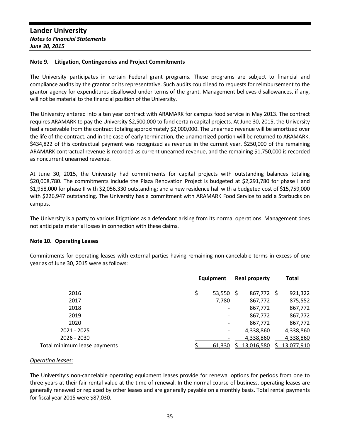### **Note 9. Litigation, Contingencies and Project Commitments**

The University participates in certain Federal grant programs. These programs are subject to financial and compliance audits by the grantor or its representative. Such audits could lead to requests for reimbursement to the grantor agency for expenditures disallowed under terms of the grant. Management believes disallowances, if any, will not be material to the financial position of the University.

The University entered into a ten year contract with ARAMARK for campus food service in May 2013. The contract requires ARAMARK to pay the University \$2,500,000 to fund certain capital projects. At June 30, 2015, the University had a receivable from the contract totaling approximately \$2,000,000. The unearned revenue will be amortized over the life of the contract, and in the case of early termination, the unamortized portion will be returned to ARAMARK. \$434,822 of this contractual payment was recognized as revenue in the current year. \$250,000 of the remaining ARAMARK contractual revenue is recorded as current unearned revenue, and the remaining \$1,750,000 is recorded as noncurrent unearned revenue.

At June 30, 2015, the University had commitments for capital projects with outstanding balances totaling \$20,008,780. The commitments include the Plaza Renovation Project is budgeted at \$2,291,780 for phase I and \$1,958,000 for phase II with \$2,056,330 outstanding; and a new residence hall with a budgeted cost of \$15,759,000 with \$226,947 outstanding. The University has a commitment with ARAMARK Food Service to add a Starbucks on campus.

The University is a party to various litigations as a defendant arising from its normal operations. Management does not anticipate material losses in connection with these claims.

### **Note 10. Operating Leases**

Commitments for operating leases with external parties having remaining non-cancelable terms in excess of one year as of June 30, 2015 were as follows:

|                              | Equipment         | <b>Real property</b> | Total      |
|------------------------------|-------------------|----------------------|------------|
| 2016                         | \$<br>$53,550$ \$ | 867,772 \$           | 921,322    |
| 2017                         | 7,780             | 867,772              | 875,552    |
| 2018                         |                   | 867,772              | 867,772    |
| 2019                         | -                 | 867,772              | 867,772    |
| 2020                         | -                 | 867,772              | 867,772    |
| 2021 - 2025                  |                   | 4,338,860            | 4,338,860  |
| 2026 - 2030                  |                   | 4,338,860            | 4,338,860  |
| Total minimum lease payments | 61,330            | 13,016,580           | 13,077,910 |

### *Operating leases:*

The University's non-cancelable operating equipment leases provide for renewal options for periods from one to three years at their fair rental value at the time of renewal. In the normal course of business, operating leases are generally renewed or replaced by other leases and are generally payable on a monthly basis. Total rental payments for fiscal year 2015 were \$87,030.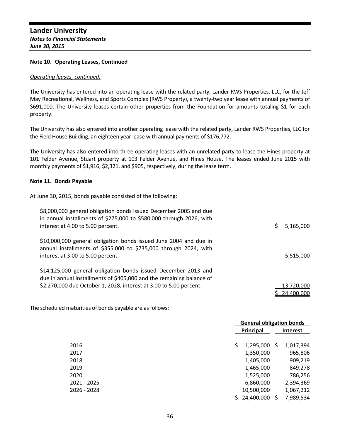### **Note 10. Operating Leases, Continued**

### *Operating leases, continued:*

The University has entered into an operating lease with the related party, Lander RWS Properties, LLC, for the Jeff May Recreational, Wellness, and Sports Complex (RWS Property), a twenty-two year lease with annual payments of \$691,000. The University leases certain other properties from the Foundation for amounts totaling \$1 for each property.

The University has also entered into another operating lease with the related party, Lander RWS Properties, LLC for the Field House Building, an eighteen year lease with annual payments of \$176,772.

The University has also entered into three operating leases with an unrelated party to lease the Hines property at 101 Felder Avenue, Stuart property at 103 Felder Avenue, and Hines House. The leases ended June 2015 with monthly payments of \$1,916, \$2,321, and \$905, respectively, during the lease term.

### **Note 11. Bonds Payable**

At June 30, 2015, bonds payable consisted of the following:

| \$8,000,000 general obligation bonds issued December 2005 and due<br>in annual installments of \$275,000 to \$580,000 through 2026, with<br>interest at 4.00 to 5.00 percent.                                | 5,165,000                |
|--------------------------------------------------------------------------------------------------------------------------------------------------------------------------------------------------------------|--------------------------|
| \$10,000,000 general obligation bonds issued June 2004 and due in<br>annual installments of \$355,000 to \$735,000 through 2024, with<br>interest at 3.00 to 5.00 percent.                                   | 5,515,000                |
| \$14,125,000 general obligation bonds issued December 2013 and<br>due in annual installments of \$405,000 and the remaining balance of<br>\$2,270,000 due October 1, 2028, interest at 3.00 to 5.00 percent. | 13,720,000<br>24.400.000 |

The scheduled maturities of bonds payable are as follows:

|             |   | <b>General obligation bonds</b> |   |                 |  |
|-------------|---|---------------------------------|---|-----------------|--|
|             |   | <b>Principal</b>                |   | <b>Interest</b> |  |
| 2016        | Ś | 1,295,000                       | S | 1,017,394       |  |
| 2017        |   | 1,350,000                       |   | 965,806         |  |
| 2018        |   | 1,405,000                       |   | 909,219         |  |
| 2019        |   | 1,465,000                       |   | 849,278         |  |
| 2020        |   | 1,525,000                       |   | 786,256         |  |
| 2021 - 2025 |   | 6,860,000                       |   | 2,394,369       |  |
| 2026 - 2028 |   | 10,500,000                      |   | 1,067,212       |  |
|             |   | 24,400,000                      |   | 7,989,534       |  |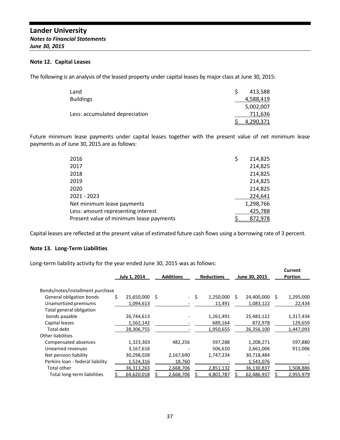### **Note 12. Capital Leases**

The following is an analysis of the leased property under capital leases by major class at June 30, 2015:

| Land                           | 413.588   |
|--------------------------------|-----------|
| <b>Buildings</b>               | 4,588,419 |
|                                | 5,002,007 |
| Less: accumulated depreciation | 711,636   |
|                                | 4,290,371 |

Future minimum lease payments under capital leases together with the present value of net minimum lease payments as of June 30, 2015 are as follows:

| 2016                                    | \$<br>214,825 |
|-----------------------------------------|---------------|
| 2017                                    | 214,825       |
| 2018                                    | 214,825       |
| 2019                                    | 214,825       |
| 2020                                    | 214,825       |
| 2021 - 2023                             | 224,641       |
| Net minimum lease payments              | 1,298,766     |
| Less: amount representing interest      | 425,788       |
| Present value of minimum lease payments | 872,978       |

Capital leases are reflected at the present value of estimated future cash flows using a borrowing rate of 3 percent.

### **Note 13. Long-Term Liabilities**

Long-term liability activity for the year ended June 30, 2015 was as follows:

|                                  | July 1, 2014     |   | <b>Additions</b>         | <b>Reductions</b> |   | June 30, 2015 |   | current<br>Portion |
|----------------------------------|------------------|---|--------------------------|-------------------|---|---------------|---|--------------------|
| Bonds/notes/installment purchase |                  |   |                          |                   |   |               |   |                    |
| General obligation bonds         | \$<br>25,650,000 | Ŝ | $\overline{\phantom{0}}$ | \$<br>1,250,000   | Ś | 24,400,000    | Ś | 1,295,000          |
| Unamortized premiums             | 1,094,613        |   |                          | 11,491            |   | 1,083,122     |   | 22,434             |
| Total general obligation         |                  |   |                          |                   |   |               |   |                    |
| bonds payable                    | 26,744,613       |   |                          | 1,261,491         |   | 25,483,122    |   | 1,317,434          |
| Capital leases                   | 1,562,142        |   |                          | 689,164           |   | 872,978       |   | 129,659            |
| Total debt                       | 28,306,755       |   |                          | 1,950,655         |   | 26,356,100    |   | 1,447,093          |
| Other liabilities                |                  |   |                          |                   |   |               |   |                    |
| Compensated absences             | 1,323,303        |   | 482,256                  | 597,288           |   | 1,208,271     |   | 597,880            |
| Unearned revenues                | 3,167,616        |   |                          | 506,610           |   | 2,661,006     |   | 911,006            |
| Net pension liability            | 30,298,028       |   | 2,167,690                | 1,747,234         |   | 30,718,484    |   |                    |
| Perkins loan - federal liability | 1,524,316        |   | 18,760                   |                   |   | 1,543,076     |   |                    |
| Total other                      | 36,313,263       |   | 2,668,706                | 2,851,132         |   | 36,130,837    |   | 1,508,886          |
| Total long-term liabilities      | 64,620,018       |   | 2,668,706                | 4,801,787         |   | 62,486,937    |   | 2,955,979          |

**Current**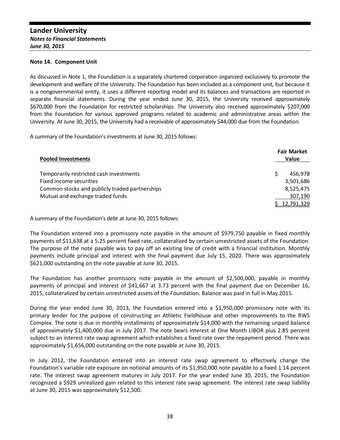### **Note 14. Component Unit**

As discussed in Note 1, the Foundation is a separately chartered corporation organized exclusively to promote the development and welfare of the University. The Foundation has been included as a component unit, but because it is a nongovernmental entity, it uses a different reporting model and its balances and transactions are reported in separate financial statements. During the year ended June 30, 2015, the University received approximately \$670,000 from the Foundation for restricted scholarships. The University also received approximately \$207,000 from the Foundation for various approved programs related to academic and administrative areas within the University. At June 30, 2015, the University had a receivable of approximately \$44,000 due from the Foundation.

A summary of the Foundation's investments at June 30, 2015 follows:

| <b>Pooled Investments</b>                      | <b>Fair Market</b><br>Value |
|------------------------------------------------|-----------------------------|
| Temporarily restricted cash investments        | 456,978                     |
| Fixed income securities                        | 3,501,686                   |
| Common stocks and publicly traded partnerships | 8,525,475                   |
| Mutual and exchange traded funds               | 307,190                     |
|                                                | 12,791,329                  |

A summary of the Foundation's debt at June 30, 2015 follows:

The Foundation entered into a promissory note payable in the amount of \$979,750 payable in fixed monthly payments of \$11,638 at a 5.25 percent fixed rate, collateralized by certain unrestricted assets of the Foundation. The purpose of the note payable was to pay off an existing line of credit with a financial institution. Monthly payments include principal and interest with the final payment due July 15, 2020. There was approximately \$621,000 outstanding on the note payable at June 30, 2015.

The Foundation has another promissory note payable in the amount of \$2,500,000, payable in monthly payments of principal and interest of \$41,667 at 3.73 percent with the final payment due on December 16, 2015, collateralized by certain unrestricted assets of the Foundation. Balance was paid in full in May 2015.

During the year ended June 30, 2013, the Foundation entered into a \$1,950,000 promissory note with its primary lender for the purpose of constructing an Athletic Fieldhouse and other improvements to the RWS Complex. The note is due in monthly installments of approximately \$14,000 with the remaining unpaid balance of approximately \$1,400,000 due in July 2017. The note bears interest at One Month LIBOR plus 2.85 percent subject to an interest rate swap agreement which establishes a fixed rate over the repayment period. There was approximately \$1,656,000 outstanding on the note payable at June 30, 2015.

In July 2012, the Foundation entered into an interest rate swap agreement to effectively change the Foundation's variable rate exposure on notional amounts of its \$1,950,000 note payable to a fixed 1.14 percent rate. The interest swap agreement matures in July 2017. For the year ended June 30, 2015, the Foundation recognized a \$929 unrealized gain related to this interest rate swap agreement. The interest rate swap liability at June 30, 2015 was approximately \$12,500.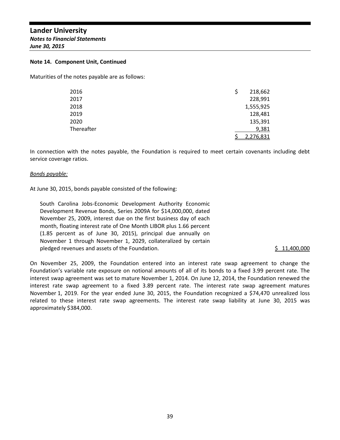### **Note 14. Component Unit, Continued**

Maturities of the notes payable are as follows:

| 2016       | 218,662   |
|------------|-----------|
| 2017       | 228,991   |
| 2018       | 1,555,925 |
| 2019       | 128,481   |
| 2020       | 135,391   |
| Thereafter | 9,381     |
|            | 2,276,831 |

In connection with the notes payable, the Foundation is required to meet certain covenants including debt service coverage ratios.

#### *Bonds payable:*

At June 30, 2015, bonds payable consisted of the following:

South Carolina Jobs-Economic Development Authority Economic Development Revenue Bonds, Series 2009A for \$14,000,000, dated November 25, 2009, interest due on the first business day of each month, floating interest rate of One Month LIBOR plus 1.66 percent (1.85 percent as of June 30, 2015), principal due annually on November 1 through November 1, 2029, collateralized by certain pledged revenues and assets of the Foundation. The same state of the Second Second Second Second Second Second S

On November 25, 2009, the Foundation entered into an interest rate swap agreement to change the Foundation's variable rate exposure on notional amounts of all of its bonds to a fixed 3.99 percent rate. The interest swap agreement was set to mature November 1, 2014. On June 12, 2014, the Foundation renewed the interest rate swap agreement to a fixed 3.89 percent rate. The interest rate swap agreement matures November 1, 2019. For the year ended June 30, 2015, the Foundation recognized a \$74,470 unrealized loss related to these interest rate swap agreements. The interest rate swap liability at June 30, 2015 was approximately \$384,000.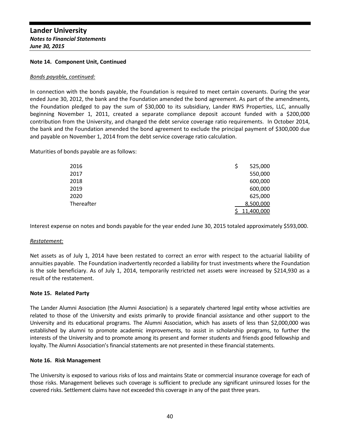### **Note 14. Component Unit, Continued**

### *Bonds payable, continued:*

In connection with the bonds payable, the Foundation is required to meet certain covenants. During the year ended June 30, 2012, the bank and the Foundation amended the bond agreement. As part of the amendments, the Foundation pledged to pay the sum of \$30,000 to its subsidiary, Lander RWS Properties, LLC, annually beginning November 1, 2011, created a separate compliance deposit account funded with a \$200,000 contribution from the University, and changed the debt service coverage ratio requirements. In October 2014, the bank and the Foundation amended the bond agreement to exclude the principal payment of \$300,000 due and payable on November 1, 2014 from the debt service coverage ratio calculation.

Maturities of bonds payable are as follows:

| 2016       | \$<br>525,000 |
|------------|---------------|
| 2017       | 550,000       |
| 2018       | 600,000       |
| 2019       | 600,000       |
| 2020       | 625,000       |
| Thereafter | 8,500,000     |
|            | 11,400,000    |

Interest expense on notes and bonds payable for the year ended June 30, 2015 totaled approximately \$593,000.

### *Restatement:*

Net assets as of July 1, 2014 have been restated to correct an error with respect to the actuarial liability of annuities payable. The Foundation inadvertently recorded a liability for trust investments where the Foundation is the sole beneficiary. As of July 1, 2014, temporarily restricted net assets were increased by \$214,930 as a result of the restatement.

### **Note 15. Related Party**

The Lander Alumni Association (the Alumni Association) is a separately chartered legal entity whose activities are related to those of the University and exists primarily to provide financial assistance and other support to the University and its educational programs. The Alumni Association, which has assets of less than \$2,000,000 was established by alumni to promote academic improvements, to assist in scholarship programs, to further the interests of the University and to promote among its present and former students and friends good fellowship and loyalty. The Alumni Association's financial statements are not presented in these financial statements.

### **Note 16. Risk Management**

The University is exposed to various risks of loss and maintains State or commercial insurance coverage for each of those risks. Management believes such coverage is sufficient to preclude any significant uninsured losses for the covered risks. Settlement claims have not exceeded this coverage in any of the past three years.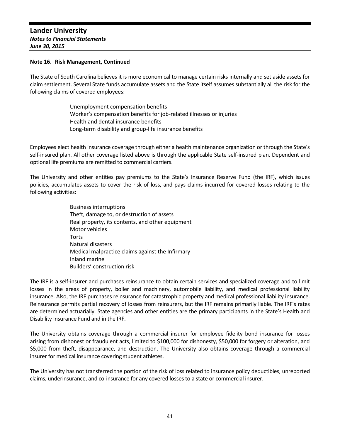### **Note 16. Risk Management, Continued**

The State of South Carolina believes it is more economical to manage certain risks internally and set aside assets for claim settlement. Several State funds accumulate assets and the State itself assumes substantially all the risk for the following claims of covered employees:

> Unemployment compensation benefits Worker's compensation benefits for job-related illnesses or injuries Health and dental insurance benefits Long-term disability and group-life insurance benefits

Employees elect health insurance coverage through either a health maintenance organization or through the State's self-insured plan. All other coverage listed above is through the applicable State self-insured plan. Dependent and optional life premiums are remitted to commercial carriers.

The University and other entities pay premiums to the State's Insurance Reserve Fund (the IRF), which issues policies, accumulates assets to cover the risk of loss, and pays claims incurred for covered losses relating to the following activities:

> Business interruptions Theft, damage to, or destruction of assets Real property, its contents, and other equipment Motor vehicles **Torts** Natural disasters Medical malpractice claims against the Infirmary Inland marine Builders' construction risk

The IRF is a self-insurer and purchases reinsurance to obtain certain services and specialized coverage and to limit losses in the areas of property, boiler and machinery, automobile liability, and medical professional liability insurance. Also, the IRF purchases reinsurance for catastrophic property and medical professional liability insurance. Reinsurance permits partial recovery of losses from reinsurers, but the IRF remains primarily liable. The IRF's rates are determined actuarially. State agencies and other entities are the primary participants in the State's Health and Disability Insurance Fund and in the IRF.

The University obtains coverage through a commercial insurer for employee fidelity bond insurance for losses arising from dishonest or fraudulent acts, limited to \$100,000 for dishonesty, \$50,000 for forgery or alteration, and \$5,000 from theft, disappearance, and destruction. The University also obtains coverage through a commercial insurer for medical insurance covering student athletes.

The University has not transferred the portion of the risk of loss related to insurance policy deductibles, unreported claims, underinsurance, and co-insurance for any covered losses to a state or commercial insurer.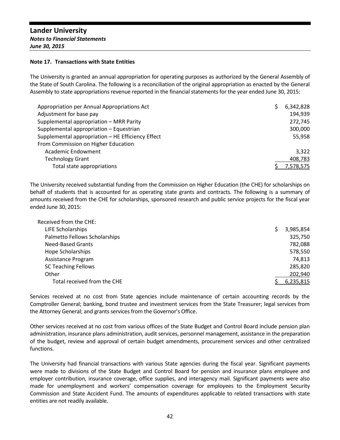### **Note 17. Transactions with State Entities**

The University is granted an annual appropriation for operating purposes as authorized by the General Assembly of the State of South Carolina. The following is a reconciliation of the original appropriation as enacted by the General Assembly to state appropriations revenue reported in the financial statements for the year ended June 30, 2015:

| Appropriation per Annual Appropriations Act       | 6,342,828        |
|---------------------------------------------------|------------------|
| Adjustment for base pay                           | 194,939          |
| Supplemental appropriation - MRR Parity           | 272,745          |
| Supplemental appropriation - Equestrian           | 300,000          |
| Supplemental appropriation - HE Efficiency Effect | 55,958           |
| From Commission on Higher Education               |                  |
| Academic Endowment                                | 3,322            |
| <b>Technology Grant</b>                           | 408,783          |
| Total state appropriations                        | <u>7,578,575</u> |

The University received substantial funding from the Commission on Higher Education (the CHE) for scholarships on behalf of students that is accounted for as operating state grants and contracts. The following is a summary of amounts received from the CHE for scholarships, sponsored research and public service projects for the fiscal year ended June 30, 2015:

| Received from the CHE:        |           |
|-------------------------------|-----------|
| LIFE Scholarships             | 3,985,854 |
| Palmetto Fellows Scholarships | 325,750   |
| <b>Need-Based Grants</b>      | 782,088   |
| Hope Scholarships             | 578,550   |
| Assistance Program            | 74,813    |
| <b>SC Teaching Fellows</b>    | 285,820   |
| Other                         | 202,940   |
| Total received from the CHE   | 6,235,815 |

Services received at no cost from State agencies include maintenance of certain accounting records by the Comptroller General; banking, bond trustee and investment services from the State Treasurer; legal services from the Attorney General; and grants services from the Governor's Office.

Other services received at no cost from various offices of the State Budget and Control Board include pension plan administration, insurance plans administration, audit services, personnel management, assistance in the preparation of the budget, review and approval of certain budget amendments, procurement services and other centralized functions.

The University had financial transactions with various State agencies during the fiscal year. Significant payments were made to divisions of the State Budget and Control Board for pension and insurance plans employee and employer contribution, insurance coverage, office supplies, and interagency mail. Significant payments were also made for unemployment and workers' compensation coverage for employees to the Employment Security Commission and State Accident Fund. The amounts of expenditures applicable to related transactions with state entities are not readily available.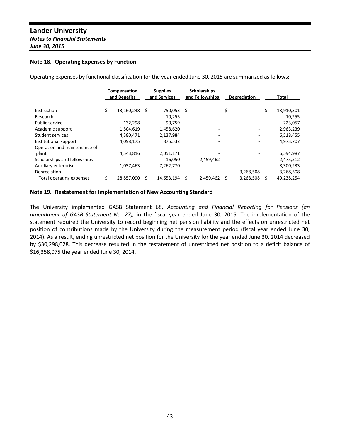### **Note 18. Operating Expenses by Function**

Operating expenses by functional classification for the year ended June 30, 2015 are summarized as follows:

|                              | Compensation<br>and Benefits |            | <b>Supplies</b><br>and Services |            | <b>Scholarships</b><br>and Fellowships |           | Depreciation |           | Total |            |
|------------------------------|------------------------------|------------|---------------------------------|------------|----------------------------------------|-----------|--------------|-----------|-------|------------|
| Instruction                  | \$                           | 13,160,248 | Ś                               | 750.053    | -Ś                                     |           | - \$         | $\sim$    | Ś     | 13,910,301 |
| Research                     |                              |            |                                 | 10,255     |                                        |           |              |           |       | 10,255     |
| Public service               |                              | 132,298    |                                 | 90.759     |                                        |           |              |           |       | 223,057    |
| Academic support             |                              | 1,504,619  |                                 | 1,458,620  |                                        |           |              |           |       | 2,963,239  |
| Student services             |                              | 4,380,471  |                                 | 2,137,984  |                                        |           |              |           |       | 6,518,455  |
| Institutional support        |                              | 4,098,175  |                                 | 875,532    |                                        |           |              |           |       | 4,973,707  |
| Operation and maintenance of |                              |            |                                 |            |                                        |           |              |           |       |            |
| plant                        |                              | 4,543,816  |                                 | 2,051,171  |                                        |           |              |           |       | 6,594,987  |
| Scholarships and fellowships |                              |            |                                 | 16,050     |                                        | 2,459,462 |              |           |       | 2,475,512  |
| Auxiliary enterprises        |                              | 1,037,463  |                                 | 7,262,770  |                                        |           |              |           |       | 8,300,233  |
| Depreciation                 |                              |            |                                 |            |                                        |           |              | 3,268,508 |       | 3,268,508  |
| Total operating expenses     |                              | 28,857,090 |                                 | 14,653,194 |                                        | 2,459,462 |              | 3,268,508 |       | 49,238,254 |

### **Note 19. Restatement for Implementation of New Accounting Standard**

The University implemented GASB Statement 68, *Accounting and Financial Reporting for Pensions (an amendment of GASB Statement No. 27),* in the fiscal year ended June 30, 2015. The implementation of the statement required the University to record beginning net pension liability and the effects on unrestricted net position of contributions made by the University during the measurement period (fiscal year ended June 30, 2014). As a result, ending unrestricted net position for the University for the year ended June 30, 2014 decreased by \$30,298,028. This decrease resulted in the restatement of unrestricted net position to a deficit balance of \$16,358,075 the year ended June 30, 2014.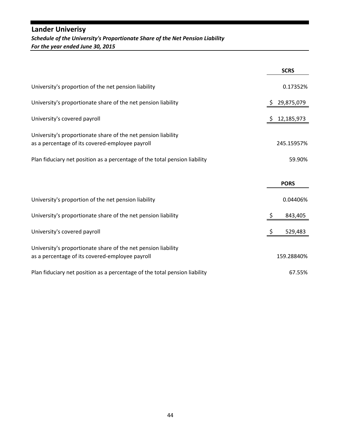# **Lander Univerisy** *Schedule of the University's Proportionate Share of the Net Pension Liability*

*For the year ended June 30, 2015*

|                                                                                                                                                                                                |    | <b>SCRS</b>          |
|------------------------------------------------------------------------------------------------------------------------------------------------------------------------------------------------|----|----------------------|
| University's proportion of the net pension liability                                                                                                                                           |    | 0.17352%             |
| University's proportionate share of the net pension liability                                                                                                                                  |    | 29,875,079           |
| University's covered payroll                                                                                                                                                                   | S. | 12,185,973           |
| University's proportionate share of the net pension liability<br>as a percentage of its covered-employee payroll<br>Plan fiduciary net position as a percentage of the total pension liability |    | 245.15957%<br>59.90% |
|                                                                                                                                                                                                |    | <b>PORS</b>          |
| University's proportion of the net pension liability                                                                                                                                           |    | 0.04406%             |
| University's proportionate share of the net pension liability                                                                                                                                  |    | 843,405              |
| University's covered payroll                                                                                                                                                                   |    | 529,483              |
| University's proportionate share of the net pension liability<br>as a percentage of its covered-employee payroll                                                                               |    | 159.28840%           |
|                                                                                                                                                                                                |    |                      |